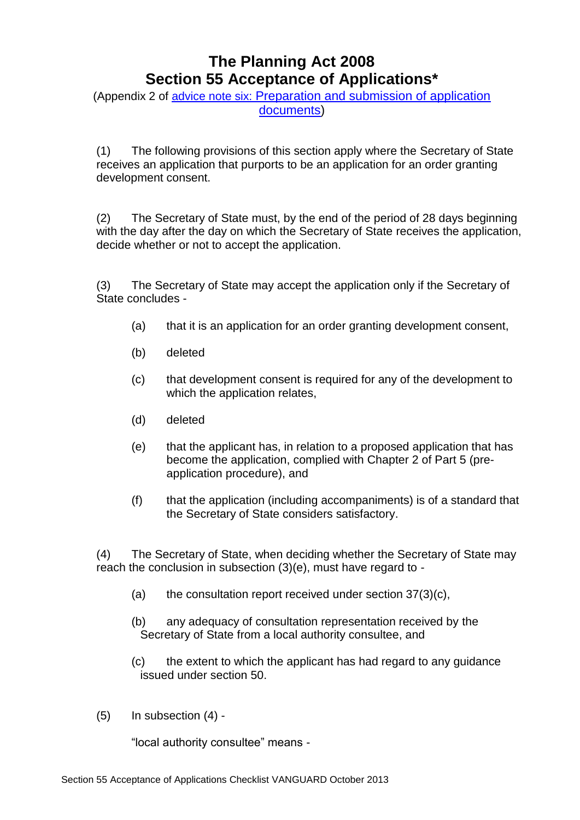## **The Planning Act 2008 Section 55 Acceptance of Applications\***

(Appendix 2 of advice note six: [Preparation and submission of application](http://infrastructure.planningportal.gov.uk/legislation-and-advice/advice-notes/)  [documents\)](http://infrastructure.planningportal.gov.uk/legislation-and-advice/advice-notes/)

(1) The following provisions of this section apply where the Secretary of State receives an application that purports to be an application for an order granting development consent.

(2) The Secretary of State must, by the end of the period of 28 days beginning with the day after the day on which the Secretary of State receives the application, decide whether or not to accept the application.

(3) The Secretary of State may accept the application only if the Secretary of State concludes -

- (a) that it is an application for an order granting development consent,
- (b) deleted
- (c) that development consent is required for any of the development to which the application relates,
- (d) deleted
- (e) that the applicant has, in relation to a proposed application that has become the application, complied with Chapter 2 of Part 5 (preapplication procedure), and
- (f) that the application (including accompaniments) is of a standard that the Secretary of State considers satisfactory.

(4) The Secretary of State, when deciding whether the Secretary of State may reach the conclusion in subsection (3)(e), must have regard to -

- (a) the consultation report received under section  $37(3)(c)$ ,
- (b) any adequacy of consultation representation received by the Secretary of State from a local authority consultee, and
- (c) the extent to which the applicant has had regard to any guidance issued under section 50.
- (5) In subsection (4) -

"local authority consultee" means -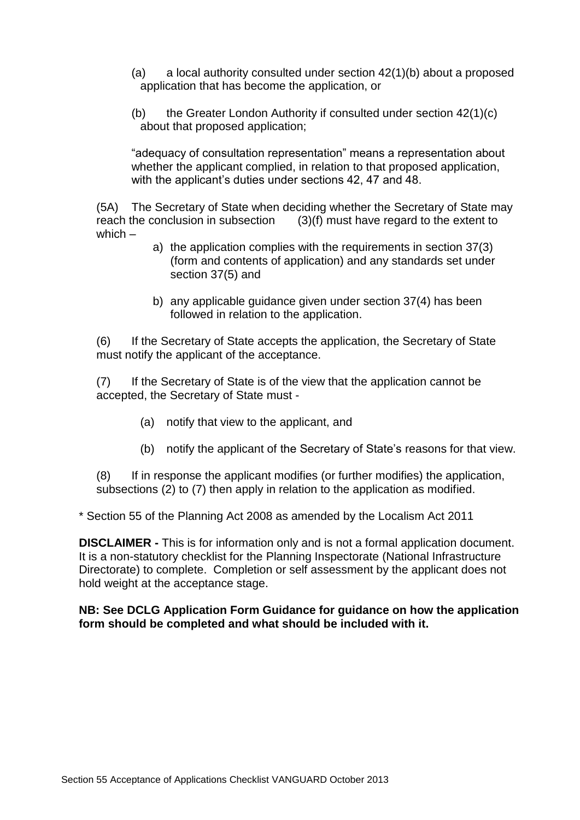- (a) a local authority consulted under section  $42(1)(b)$  about a proposed application that has become the application, or
- (b) the Greater London Authority if consulted under section 42(1)(c) about that proposed application;

"adequacy of consultation representation" means a representation about whether the applicant complied, in relation to that proposed application, with the applicant's duties under sections 42, 47 and 48.

(5A) The Secretary of State when deciding whether the Secretary of State may reach the conclusion in subsection  $(3)(f)$  must have regard to the extent to  $(3)(f)$  must have regard to the extent to which –

- a) the application complies with the requirements in section 37(3) (form and contents of application) and any standards set under section 37(5) and
- b) any applicable guidance given under section 37(4) has been followed in relation to the application.

(6) If the Secretary of State accepts the application, the Secretary of State must notify the applicant of the acceptance.

(7) If the Secretary of State is of the view that the application cannot be accepted, the Secretary of State must -

- (a) notify that view to the applicant, and
- (b) notify the applicant of the Secretary of State's reasons for that view.

(8) If in response the applicant modifies (or further modifies) the application, subsections (2) to (7) then apply in relation to the application as modified.

\* Section 55 of the Planning Act 2008 as amended by the Localism Act 2011

**DISCLAIMER -** This is for information only and is not a formal application document. It is a non-statutory checklist for the Planning Inspectorate (National Infrastructure Directorate) to complete. Completion or self assessment by the applicant does not hold weight at the acceptance stage.

**NB: See DCLG Application Form Guidance for guidance on how the application form should be completed and what should be included with it.**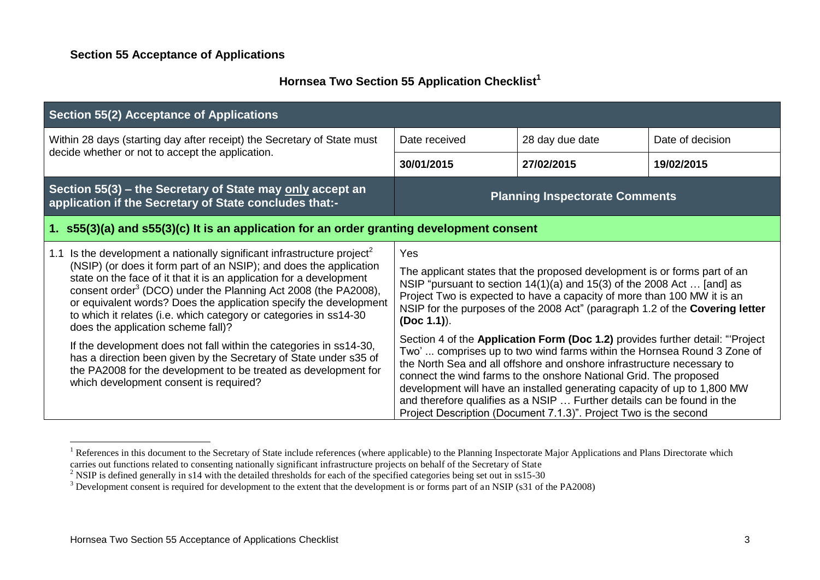## **Hornsea Two Section 55 Application Checklist<sup>1</sup>**

| <b>Section 55(2) Acceptance of Applications</b>                                                                                                                                                                                                                                                                                                                                                                                                                                                                                                                                                                                                                                                                                                           |                                                                                                                                                                                                                                                                                                                                                                                                                                                                                                                                                                                                                                                                                                                                                                                                                                                                              |                                       |                  |
|-----------------------------------------------------------------------------------------------------------------------------------------------------------------------------------------------------------------------------------------------------------------------------------------------------------------------------------------------------------------------------------------------------------------------------------------------------------------------------------------------------------------------------------------------------------------------------------------------------------------------------------------------------------------------------------------------------------------------------------------------------------|------------------------------------------------------------------------------------------------------------------------------------------------------------------------------------------------------------------------------------------------------------------------------------------------------------------------------------------------------------------------------------------------------------------------------------------------------------------------------------------------------------------------------------------------------------------------------------------------------------------------------------------------------------------------------------------------------------------------------------------------------------------------------------------------------------------------------------------------------------------------------|---------------------------------------|------------------|
| Within 28 days (starting day after receipt) the Secretary of State must<br>decide whether or not to accept the application.                                                                                                                                                                                                                                                                                                                                                                                                                                                                                                                                                                                                                               | Date received                                                                                                                                                                                                                                                                                                                                                                                                                                                                                                                                                                                                                                                                                                                                                                                                                                                                | 28 day due date                       | Date of decision |
|                                                                                                                                                                                                                                                                                                                                                                                                                                                                                                                                                                                                                                                                                                                                                           | 30/01/2015                                                                                                                                                                                                                                                                                                                                                                                                                                                                                                                                                                                                                                                                                                                                                                                                                                                                   | 27/02/2015                            | 19/02/2015       |
| Section 55(3) – the Secretary of State may only accept an<br>application if the Secretary of State concludes that:-                                                                                                                                                                                                                                                                                                                                                                                                                                                                                                                                                                                                                                       |                                                                                                                                                                                                                                                                                                                                                                                                                                                                                                                                                                                                                                                                                                                                                                                                                                                                              | <b>Planning Inspectorate Comments</b> |                  |
| 1. s55(3)(a) and s55(3)(c) It is an application for an order granting development consent                                                                                                                                                                                                                                                                                                                                                                                                                                                                                                                                                                                                                                                                 |                                                                                                                                                                                                                                                                                                                                                                                                                                                                                                                                                                                                                                                                                                                                                                                                                                                                              |                                       |                  |
| Is the development a nationally significant infrastructure project <sup>2</sup><br>1.1<br>(NSIP) (or does it form part of an NSIP); and does the application<br>state on the face of it that it is an application for a development<br>consent order <sup>3</sup> (DCO) under the Planning Act 2008 (the PA2008),<br>or equivalent words? Does the application specify the development<br>to which it relates (i.e. which category or categories in ss14-30<br>does the application scheme fall)?<br>If the development does not fall within the categories in ss14-30,<br>has a direction been given by the Secretary of State under s35 of<br>the PA2008 for the development to be treated as development for<br>which development consent is required? | Yes<br>The applicant states that the proposed development is or forms part of an<br>NSIP "pursuant to section $14(1)(a)$ and $15(3)$ of the 2008 Act  [and] as<br>Project Two is expected to have a capacity of more than 100 MW it is an<br>NSIP for the purposes of the 2008 Act" (paragraph 1.2 of the Covering letter<br>(Doc 1.1)).<br>Section 4 of the Application Form (Doc 1.2) provides further detail: "Project<br>Two' comprises up to two wind farms within the Hornsea Round 3 Zone of<br>the North Sea and all offshore and onshore infrastructure necessary to<br>connect the wind farms to the onshore National Grid. The proposed<br>development will have an installed generating capacity of up to 1,800 MW<br>and therefore qualifies as a NSIP  Further details can be found in the<br>Project Description (Document 7.1.3)". Project Two is the second |                                       |                  |

<sup>&</sup>lt;sup>1</sup> References in this document to the Secretary of State include references (where applicable) to the Planning Inspectorate Major Applications and Plans Directorate which carries out functions related to consenting nationally significant infrastructure projects on behalf of the Secretary of State

<u>.</u>

<sup>&</sup>lt;sup>2</sup> NSIP is defined generally in s14 with the detailed thresholds for each of the specified categories being set out in ss15-30

<sup>&</sup>lt;sup>3</sup> Development consent is required for development to the extent that the development is or forms part of an NSIP (s31 of the PA2008)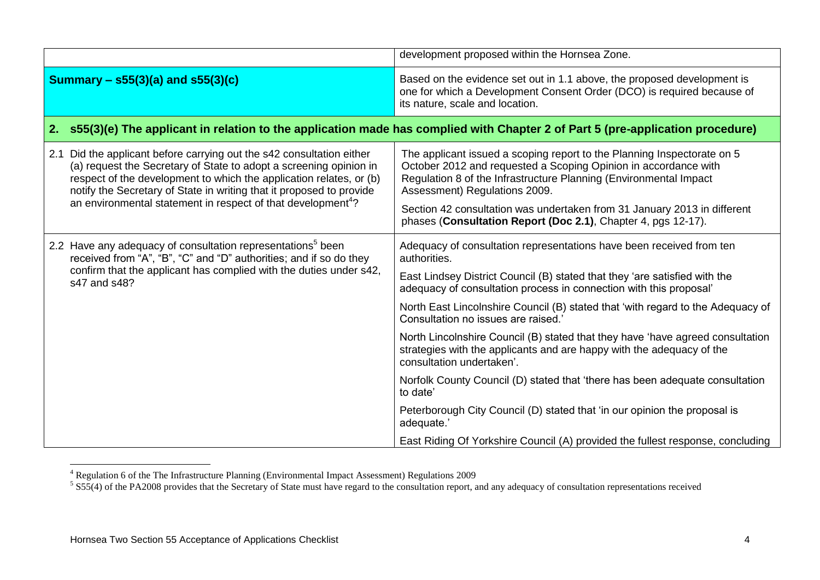|     |                                                                                                                                                                                                                                                                                                                                                                    | development proposed within the Hornsea Zone.                                                                                                                                                                                                                                                                                                                                                                                                                                                                                                                                                                                                          |
|-----|--------------------------------------------------------------------------------------------------------------------------------------------------------------------------------------------------------------------------------------------------------------------------------------------------------------------------------------------------------------------|--------------------------------------------------------------------------------------------------------------------------------------------------------------------------------------------------------------------------------------------------------------------------------------------------------------------------------------------------------------------------------------------------------------------------------------------------------------------------------------------------------------------------------------------------------------------------------------------------------------------------------------------------------|
|     | Summary $-$ s55(3)(a) and s55(3)(c)                                                                                                                                                                                                                                                                                                                                | Based on the evidence set out in 1.1 above, the proposed development is<br>one for which a Development Consent Order (DCO) is required because of<br>its nature, scale and location.                                                                                                                                                                                                                                                                                                                                                                                                                                                                   |
| 2.  |                                                                                                                                                                                                                                                                                                                                                                    | s55(3)(e) The applicant in relation to the application made has complied with Chapter 2 of Part 5 (pre-application procedure)                                                                                                                                                                                                                                                                                                                                                                                                                                                                                                                          |
| 2.1 | Did the applicant before carrying out the s42 consultation either<br>(a) request the Secretary of State to adopt a screening opinion in<br>respect of the development to which the application relates, or (b)<br>notify the Secretary of State in writing that it proposed to provide<br>an environmental statement in respect of that development <sup>4</sup> ? | The applicant issued a scoping report to the Planning Inspectorate on 5<br>October 2012 and requested a Scoping Opinion in accordance with<br>Regulation 8 of the Infrastructure Planning (Environmental Impact<br>Assessment) Regulations 2009.<br>Section 42 consultation was undertaken from 31 January 2013 in different<br>phases (Consultation Report (Doc 2.1), Chapter 4, pgs 12-17).                                                                                                                                                                                                                                                          |
|     | 2.2 Have any adequacy of consultation representations <sup>5</sup> been<br>received from "A", "B", "C" and "D" authorities; and if so do they<br>confirm that the applicant has complied with the duties under s42,<br>s47 and s48?                                                                                                                                | Adequacy of consultation representations have been received from ten<br>authorities.<br>East Lindsey District Council (B) stated that they 'are satisfied with the<br>adequacy of consultation process in connection with this proposal'<br>North East Lincolnshire Council (B) stated that 'with regard to the Adequacy of<br>Consultation no issues are raised.'<br>North Lincolnshire Council (B) stated that they have 'have agreed consultation<br>strategies with the applicants and are happy with the adequacy of the<br>consultation undertaken'.<br>Norfolk County Council (D) stated that 'there has been adequate consultation<br>to date' |
|     |                                                                                                                                                                                                                                                                                                                                                                    | Peterborough City Council (D) stated that 'in our opinion the proposal is<br>adequate.'<br>East Riding Of Yorkshire Council (A) provided the fullest response, concluding                                                                                                                                                                                                                                                                                                                                                                                                                                                                              |

1

<sup>&</sup>lt;sup>4</sup> Regulation 6 of the The Infrastructure Planning (Environmental Impact Assessment) Regulations 2009<br><sup>5</sup> S55(4) of the PA2008 provides that the Secretary of State must have regard to the consultation report, and any ade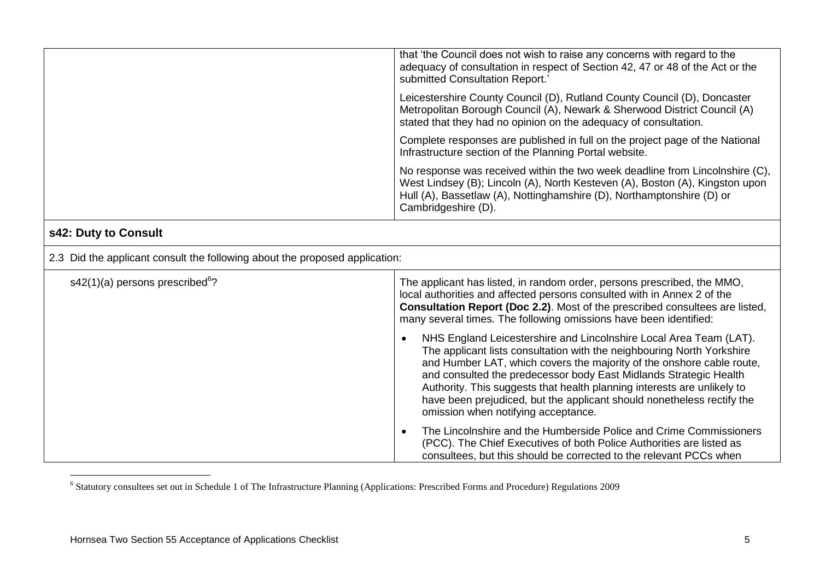| that 'the Council does not wish to raise any concerns with regard to the<br>adequacy of consultation in respect of Section 42, 47 or 48 of the Act or the<br>submitted Consultation Report.'                                                                 |
|--------------------------------------------------------------------------------------------------------------------------------------------------------------------------------------------------------------------------------------------------------------|
| Leicestershire County Council (D), Rutland County Council (D), Doncaster<br>Metropolitan Borough Council (A), Newark & Sherwood District Council (A)<br>stated that they had no opinion on the adequacy of consultation.                                     |
| Complete responses are published in full on the project page of the National<br>Infrastructure section of the Planning Portal website.                                                                                                                       |
| No response was received within the two week deadline from Lincolnshire (C),<br>West Lindsey (B); Lincoln (A), North Kesteven (A), Boston (A), Kingston upon<br>Hull (A), Bassetlaw (A), Nottinghamshire (D), Northamptonshire (D) or<br>Cambridgeshire (D). |

## **s42: Duty to Consult**

| 2.3 Did the applicant consult the following about the proposed application: |                                                                                                                                                                                                                                                                                                                                                                                                                                                                                        |  |
|-----------------------------------------------------------------------------|----------------------------------------------------------------------------------------------------------------------------------------------------------------------------------------------------------------------------------------------------------------------------------------------------------------------------------------------------------------------------------------------------------------------------------------------------------------------------------------|--|
| $s42(1)(a)$ persons prescribed <sup>6</sup> ?                               | The applicant has listed, in random order, persons prescribed, the MMO,<br>local authorities and affected persons consulted with in Annex 2 of the<br><b>Consultation Report (Doc 2.2).</b> Most of the prescribed consultees are listed,<br>many several times. The following omissions have been identified:                                                                                                                                                                         |  |
|                                                                             | NHS England Leicestershire and Lincolnshire Local Area Team (LAT).<br>The applicant lists consultation with the neighbouring North Yorkshire<br>and Humber LAT, which covers the majority of the onshore cable route,<br>and consulted the predecessor body East Midlands Strategic Health<br>Authority. This suggests that health planning interests are unlikely to<br>have been prejudiced, but the applicant should nonetheless rectify the<br>omission when notifying acceptance. |  |
|                                                                             | The Lincolnshire and the Humberside Police and Crime Commissioners<br>(PCC). The Chief Executives of both Police Authorities are listed as<br>consultees, but this should be corrected to the relevant PCCs when                                                                                                                                                                                                                                                                       |  |

 6 Statutory consultees set out in Schedule 1 of The Infrastructure Planning (Applications: Prescribed Forms and Procedure) Regulations 2009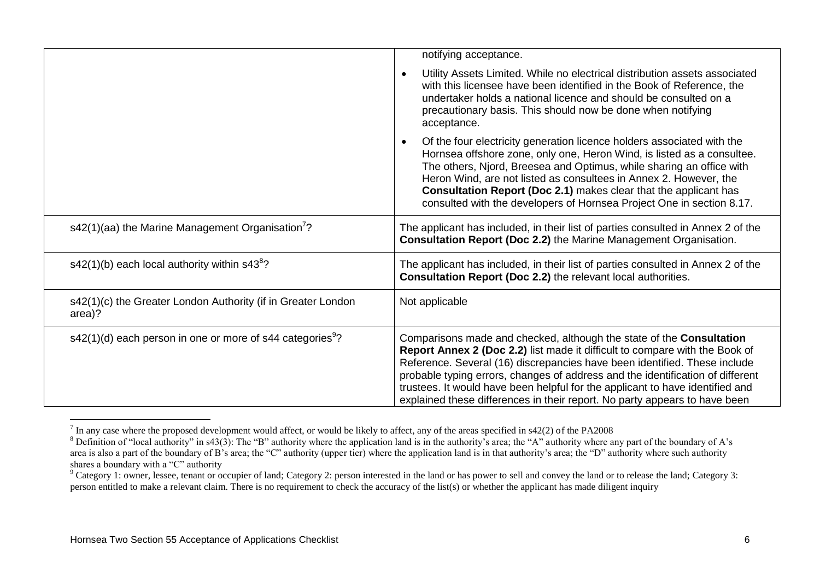|                                                                         | notifying acceptance.                                                                                                                                                                                                                                                                                                                                                                                                                                                             |
|-------------------------------------------------------------------------|-----------------------------------------------------------------------------------------------------------------------------------------------------------------------------------------------------------------------------------------------------------------------------------------------------------------------------------------------------------------------------------------------------------------------------------------------------------------------------------|
|                                                                         | Utility Assets Limited. While no electrical distribution assets associated<br>$\bullet$<br>with this licensee have been identified in the Book of Reference, the<br>undertaker holds a national licence and should be consulted on a<br>precautionary basis. This should now be done when notifying<br>acceptance.                                                                                                                                                                |
|                                                                         | Of the four electricity generation licence holders associated with the<br>$\bullet$<br>Hornsea offshore zone, only one, Heron Wind, is listed as a consultee.<br>The others, Njord, Breesea and Optimus, while sharing an office with<br>Heron Wind, are not listed as consultees in Annex 2. However, the<br>Consultation Report (Doc 2.1) makes clear that the applicant has<br>consulted with the developers of Hornsea Project One in section 8.17.                           |
| s42(1)(aa) the Marine Management Organisation <sup>7</sup> ?            | The applicant has included, in their list of parties consulted in Annex 2 of the<br>Consultation Report (Doc 2.2) the Marine Management Organisation.                                                                                                                                                                                                                                                                                                                             |
| s42(1)(b) each local authority within $s43^8$ ?                         | The applicant has included, in their list of parties consulted in Annex 2 of the<br>Consultation Report (Doc 2.2) the relevant local authorities.                                                                                                                                                                                                                                                                                                                                 |
| s42(1)(c) the Greater London Authority (if in Greater London<br>area)?  | Not applicable                                                                                                                                                                                                                                                                                                                                                                                                                                                                    |
| $s42(1)(d)$ each person in one or more of s44 categories <sup>9</sup> ? | Comparisons made and checked, although the state of the Consultation<br>Report Annex 2 (Doc 2.2) list made it difficult to compare with the Book of<br>Reference. Several (16) discrepancies have been identified. These include<br>probable typing errors, changes of address and the identification of different<br>trustees. It would have been helpful for the applicant to have identified and<br>explained these differences in their report. No party appears to have been |

The any case where the proposed development would affect, or would be likely to affect, any of the areas specified in s42(2) of the PA2008

 $8$  Definition of "local authority" in s43(3): The "B" authority where the application land is in the authority's area; the "A" authority where any part of the boundary of A's area is also a part of the boundary of B's area; the "C" authority (upper tier) where the application land is in that authority's area; the "D" authority where such authority shares a boundary with a "C" authority

<sup>&</sup>lt;sup>9</sup> Category 1: owner, lessee, tenant or occupier of land; Category 2: person interested in the land or has power to sell and convey the land or to release the land; Category 3: person entitled to make a relevant claim. There is no requirement to check the accuracy of the list(s) or whether the applicant has made diligent inquiry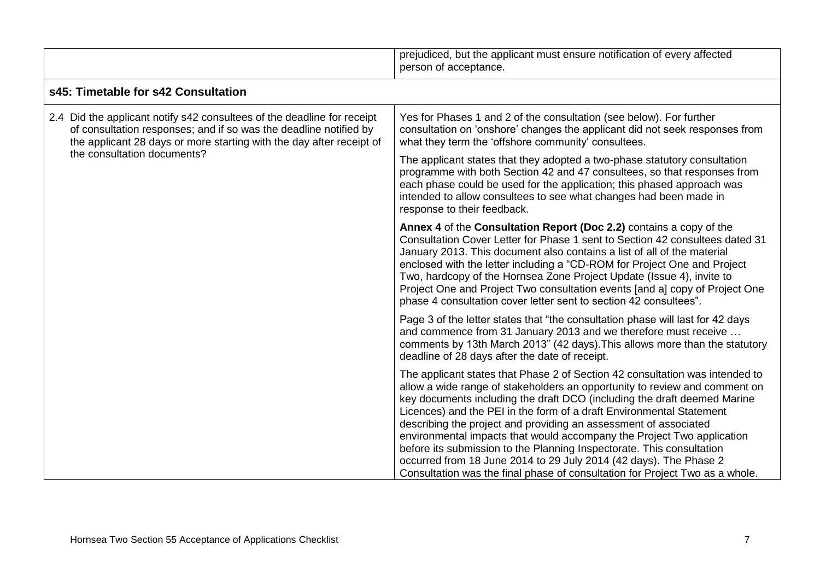|                                                                                                                                                                                                                                                     | prejudiced, but the applicant must ensure notification of every affected<br>person of acceptance.                                                                                                                                                                                                                                                                                                                                                                                                                                                                                                                                                                                          |
|-----------------------------------------------------------------------------------------------------------------------------------------------------------------------------------------------------------------------------------------------------|--------------------------------------------------------------------------------------------------------------------------------------------------------------------------------------------------------------------------------------------------------------------------------------------------------------------------------------------------------------------------------------------------------------------------------------------------------------------------------------------------------------------------------------------------------------------------------------------------------------------------------------------------------------------------------------------|
| s45: Timetable for s42 Consultation                                                                                                                                                                                                                 |                                                                                                                                                                                                                                                                                                                                                                                                                                                                                                                                                                                                                                                                                            |
| 2.4 Did the applicant notify s42 consultees of the deadline for receipt<br>of consultation responses; and if so was the deadline notified by<br>the applicant 28 days or more starting with the day after receipt of<br>the consultation documents? | Yes for Phases 1 and 2 of the consultation (see below). For further<br>consultation on 'onshore' changes the applicant did not seek responses from<br>what they term the 'offshore community' consultees.                                                                                                                                                                                                                                                                                                                                                                                                                                                                                  |
|                                                                                                                                                                                                                                                     | The applicant states that they adopted a two-phase statutory consultation<br>programme with both Section 42 and 47 consultees, so that responses from<br>each phase could be used for the application; this phased approach was<br>intended to allow consultees to see what changes had been made in<br>response to their feedback.                                                                                                                                                                                                                                                                                                                                                        |
|                                                                                                                                                                                                                                                     | Annex 4 of the Consultation Report (Doc 2.2) contains a copy of the<br>Consultation Cover Letter for Phase 1 sent to Section 42 consultees dated 31<br>January 2013. This document also contains a list of all of the material<br>enclosed with the letter including a "CD-ROM for Project One and Project<br>Two, hardcopy of the Hornsea Zone Project Update (Issue 4), invite to<br>Project One and Project Two consultation events [and a] copy of Project One<br>phase 4 consultation cover letter sent to section 42 consultees".                                                                                                                                                    |
|                                                                                                                                                                                                                                                     | Page 3 of the letter states that "the consultation phase will last for 42 days<br>and commence from 31 January 2013 and we therefore must receive<br>comments by 13th March 2013" (42 days). This allows more than the statutory<br>deadline of 28 days after the date of receipt.                                                                                                                                                                                                                                                                                                                                                                                                         |
|                                                                                                                                                                                                                                                     | The applicant states that Phase 2 of Section 42 consultation was intended to<br>allow a wide range of stakeholders an opportunity to review and comment on<br>key documents including the draft DCO (including the draft deemed Marine<br>Licences) and the PEI in the form of a draft Environmental Statement<br>describing the project and providing an assessment of associated<br>environmental impacts that would accompany the Project Two application<br>before its submission to the Planning Inspectorate. This consultation<br>occurred from 18 June 2014 to 29 July 2014 (42 days). The Phase 2<br>Consultation was the final phase of consultation for Project Two as a whole. |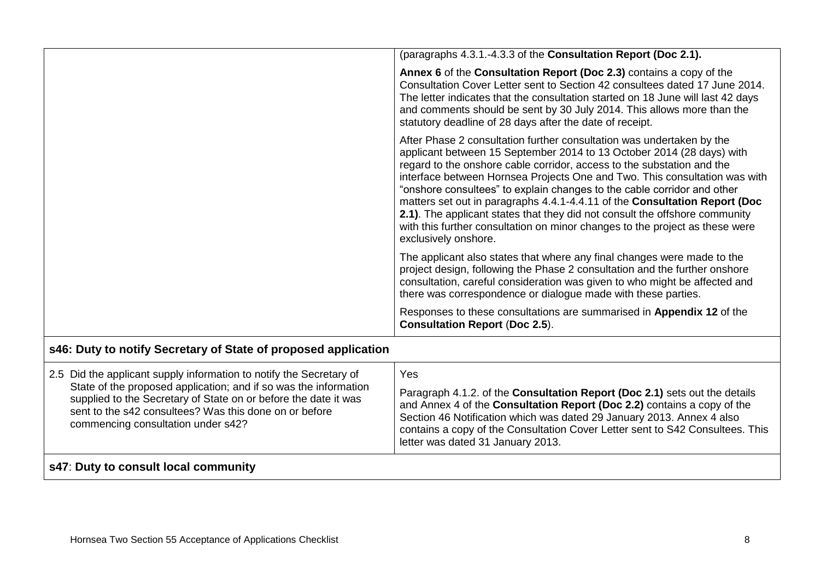|                                                                                                                                                                                                                                                                                                            | (paragraphs 4.3.1.-4.3.3 of the Consultation Report (Doc 2.1).                                                                                                                                                                                                                                                                                                                                                                                                                                                                                                                                                                                         |
|------------------------------------------------------------------------------------------------------------------------------------------------------------------------------------------------------------------------------------------------------------------------------------------------------------|--------------------------------------------------------------------------------------------------------------------------------------------------------------------------------------------------------------------------------------------------------------------------------------------------------------------------------------------------------------------------------------------------------------------------------------------------------------------------------------------------------------------------------------------------------------------------------------------------------------------------------------------------------|
|                                                                                                                                                                                                                                                                                                            | Annex 6 of the Consultation Report (Doc 2.3) contains a copy of the<br>Consultation Cover Letter sent to Section 42 consultees dated 17 June 2014.<br>The letter indicates that the consultation started on 18 June will last 42 days<br>and comments should be sent by 30 July 2014. This allows more than the<br>statutory deadline of 28 days after the date of receipt.                                                                                                                                                                                                                                                                            |
|                                                                                                                                                                                                                                                                                                            | After Phase 2 consultation further consultation was undertaken by the<br>applicant between 15 September 2014 to 13 October 2014 (28 days) with<br>regard to the onshore cable corridor, access to the substation and the<br>interface between Hornsea Projects One and Two. This consultation was with<br>"onshore consultees" to explain changes to the cable corridor and other<br>matters set out in paragraphs 4.4.1-4.4.11 of the Consultation Report (Doc<br>2.1). The applicant states that they did not consult the offshore community<br>with this further consultation on minor changes to the project as these were<br>exclusively onshore. |
|                                                                                                                                                                                                                                                                                                            | The applicant also states that where any final changes were made to the<br>project design, following the Phase 2 consultation and the further onshore<br>consultation, careful consideration was given to who might be affected and<br>there was correspondence or dialogue made with these parties.                                                                                                                                                                                                                                                                                                                                                   |
|                                                                                                                                                                                                                                                                                                            | Responses to these consultations are summarised in Appendix 12 of the<br><b>Consultation Report (Doc 2.5).</b>                                                                                                                                                                                                                                                                                                                                                                                                                                                                                                                                         |
| s46: Duty to notify Secretary of State of proposed application                                                                                                                                                                                                                                             |                                                                                                                                                                                                                                                                                                                                                                                                                                                                                                                                                                                                                                                        |
| 2.5 Did the applicant supply information to notify the Secretary of<br>State of the proposed application; and if so was the information<br>supplied to the Secretary of State on or before the date it was<br>sent to the s42 consultees? Was this done on or before<br>commencing consultation under s42? | Yes<br>Paragraph 4.1.2. of the Consultation Report (Doc 2.1) sets out the details<br>and Annex 4 of the Consultation Report (Doc 2.2) contains a copy of the<br>Section 46 Notification which was dated 29 January 2013. Annex 4 also<br>contains a copy of the Consultation Cover Letter sent to S42 Consultees. This<br>letter was dated 31 January 2013.                                                                                                                                                                                                                                                                                            |
| s47: Duty to consult local community                                                                                                                                                                                                                                                                       |                                                                                                                                                                                                                                                                                                                                                                                                                                                                                                                                                                                                                                                        |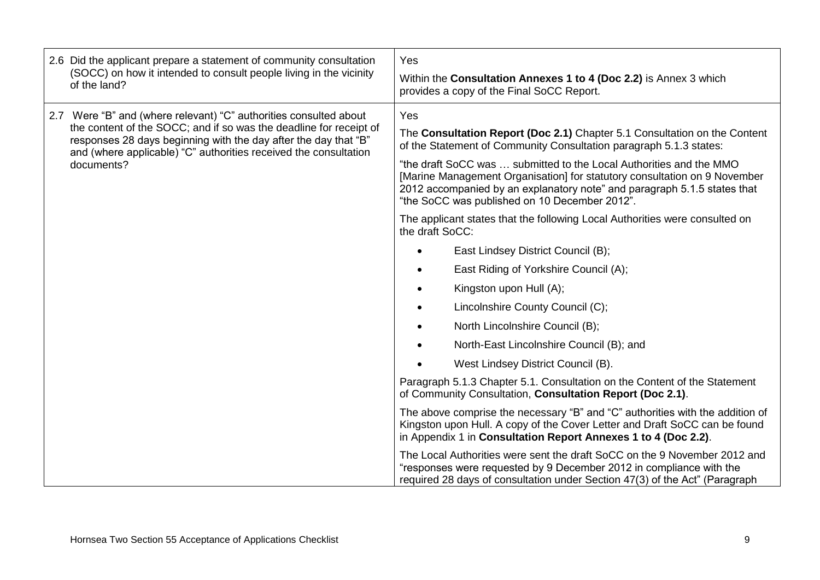| 2.6 Did the applicant prepare a statement of community consultation<br>(SOCC) on how it intended to consult people living in the vicinity<br>of the land?                                                                                                                                    | Yes<br>Within the Consultation Annexes 1 to 4 (Doc 2.2) is Annex 3 which<br>provides a copy of the Final SoCC Report.                                                                                                                                                                                                                                                                                                                   |
|----------------------------------------------------------------------------------------------------------------------------------------------------------------------------------------------------------------------------------------------------------------------------------------------|-----------------------------------------------------------------------------------------------------------------------------------------------------------------------------------------------------------------------------------------------------------------------------------------------------------------------------------------------------------------------------------------------------------------------------------------|
| 2.7 Were "B" and (where relevant) "C" authorities consulted about<br>the content of the SOCC; and if so was the deadline for receipt of<br>responses 28 days beginning with the day after the day that "B"<br>and (where applicable) "C" authorities received the consultation<br>documents? | Yes<br>The Consultation Report (Doc 2.1) Chapter 5.1 Consultation on the Content<br>of the Statement of Community Consultation paragraph 5.1.3 states:<br>"the draft SoCC was  submitted to the Local Authorities and the MMO<br>[Marine Management Organisation] for statutory consultation on 9 November<br>2012 accompanied by an explanatory note" and paragraph 5.1.5 states that<br>"the SoCC was published on 10 December 2012". |
|                                                                                                                                                                                                                                                                                              | The applicant states that the following Local Authorities were consulted on<br>the draft SoCC:                                                                                                                                                                                                                                                                                                                                          |
|                                                                                                                                                                                                                                                                                              | East Lindsey District Council (B);                                                                                                                                                                                                                                                                                                                                                                                                      |
|                                                                                                                                                                                                                                                                                              | East Riding of Yorkshire Council (A);                                                                                                                                                                                                                                                                                                                                                                                                   |
|                                                                                                                                                                                                                                                                                              | Kingston upon Hull (A);                                                                                                                                                                                                                                                                                                                                                                                                                 |
|                                                                                                                                                                                                                                                                                              | Lincolnshire County Council (C);                                                                                                                                                                                                                                                                                                                                                                                                        |
|                                                                                                                                                                                                                                                                                              | North Lincolnshire Council (B);                                                                                                                                                                                                                                                                                                                                                                                                         |
|                                                                                                                                                                                                                                                                                              | North-East Lincolnshire Council (B); and                                                                                                                                                                                                                                                                                                                                                                                                |
|                                                                                                                                                                                                                                                                                              | West Lindsey District Council (B).                                                                                                                                                                                                                                                                                                                                                                                                      |
|                                                                                                                                                                                                                                                                                              | Paragraph 5.1.3 Chapter 5.1. Consultation on the Content of the Statement<br>of Community Consultation, Consultation Report (Doc 2.1).                                                                                                                                                                                                                                                                                                  |
|                                                                                                                                                                                                                                                                                              | The above comprise the necessary "B" and "C" authorities with the addition of<br>Kingston upon Hull. A copy of the Cover Letter and Draft SoCC can be found<br>in Appendix 1 in Consultation Report Annexes 1 to 4 (Doc 2.2).                                                                                                                                                                                                           |
|                                                                                                                                                                                                                                                                                              | The Local Authorities were sent the draft SoCC on the 9 November 2012 and<br>"responses were requested by 9 December 2012 in compliance with the<br>required 28 days of consultation under Section 47(3) of the Act" (Paragraph                                                                                                                                                                                                         |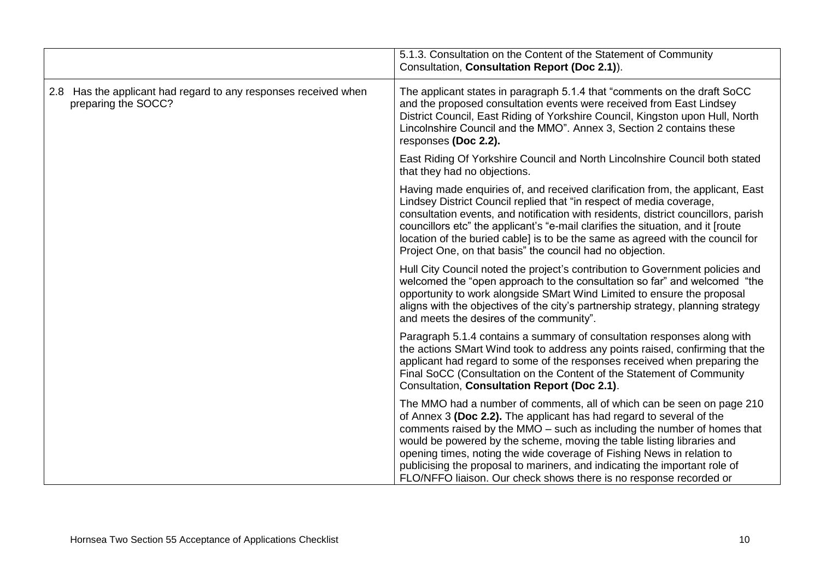|                                                                                        | 5.1.3. Consultation on the Content of the Statement of Community<br>Consultation, Consultation Report (Doc 2.1)).                                                                                                                                                                                                                                                                                                                                                                                                                 |
|----------------------------------------------------------------------------------------|-----------------------------------------------------------------------------------------------------------------------------------------------------------------------------------------------------------------------------------------------------------------------------------------------------------------------------------------------------------------------------------------------------------------------------------------------------------------------------------------------------------------------------------|
| 2.8 Has the applicant had regard to any responses received when<br>preparing the SOCC? | The applicant states in paragraph 5.1.4 that "comments on the draft SoCC<br>and the proposed consultation events were received from East Lindsey<br>District Council, East Riding of Yorkshire Council, Kingston upon Hull, North<br>Lincolnshire Council and the MMO". Annex 3, Section 2 contains these<br>responses (Doc 2.2).                                                                                                                                                                                                 |
|                                                                                        | East Riding Of Yorkshire Council and North Lincolnshire Council both stated<br>that they had no objections.                                                                                                                                                                                                                                                                                                                                                                                                                       |
|                                                                                        | Having made enquiries of, and received clarification from, the applicant, East<br>Lindsey District Council replied that "in respect of media coverage,<br>consultation events, and notification with residents, district councillors, parish<br>councillors etc" the applicant's "e-mail clarifies the situation, and it [route<br>location of the buried cable] is to be the same as agreed with the council for<br>Project One, on that basis" the council had no objection.                                                    |
|                                                                                        | Hull City Council noted the project's contribution to Government policies and<br>welcomed the "open approach to the consultation so far" and welcomed "the<br>opportunity to work alongside SMart Wind Limited to ensure the proposal<br>aligns with the objectives of the city's partnership strategy, planning strategy<br>and meets the desires of the community".                                                                                                                                                             |
|                                                                                        | Paragraph 5.1.4 contains a summary of consultation responses along with<br>the actions SMart Wind took to address any points raised, confirming that the<br>applicant had regard to some of the responses received when preparing the<br>Final SoCC (Consultation on the Content of the Statement of Community<br>Consultation, Consultation Report (Doc 2.1).                                                                                                                                                                    |
|                                                                                        | The MMO had a number of comments, all of which can be seen on page 210<br>of Annex 3 (Doc 2.2). The applicant has had regard to several of the<br>comments raised by the MMO – such as including the number of homes that<br>would be powered by the scheme, moving the table listing libraries and<br>opening times, noting the wide coverage of Fishing News in relation to<br>publicising the proposal to mariners, and indicating the important role of<br>FLO/NFFO liaison. Our check shows there is no response recorded or |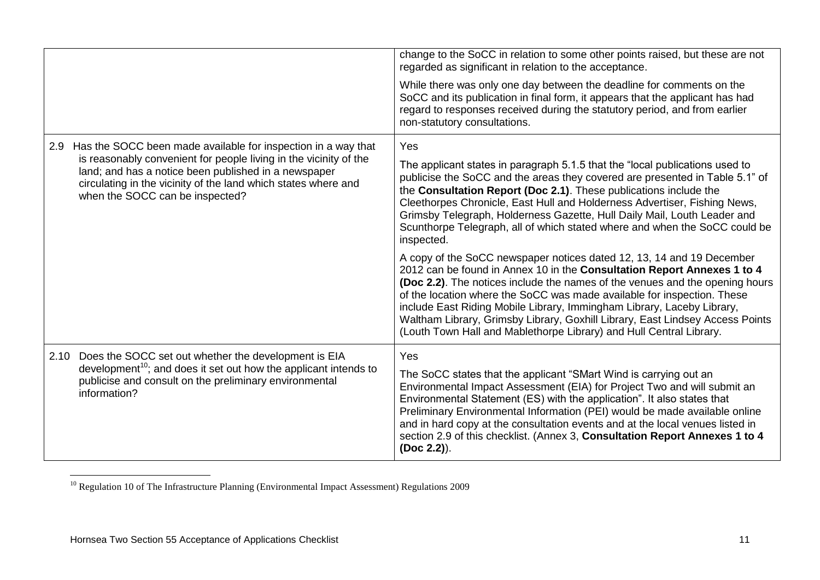|      |                                                                                                                                                                                                                                | change to the SoCC in relation to some other points raised, but these are not<br>regarded as significant in relation to the acceptance.                                                                                                                                                                                                                                                                                                                                                                                                              |
|------|--------------------------------------------------------------------------------------------------------------------------------------------------------------------------------------------------------------------------------|------------------------------------------------------------------------------------------------------------------------------------------------------------------------------------------------------------------------------------------------------------------------------------------------------------------------------------------------------------------------------------------------------------------------------------------------------------------------------------------------------------------------------------------------------|
|      |                                                                                                                                                                                                                                | While there was only one day between the deadline for comments on the<br>SoCC and its publication in final form, it appears that the applicant has had<br>regard to responses received during the statutory period, and from earlier<br>non-statutory consultations.                                                                                                                                                                                                                                                                                 |
| 2.9  | Has the SOCC been made available for inspection in a way that                                                                                                                                                                  | Yes                                                                                                                                                                                                                                                                                                                                                                                                                                                                                                                                                  |
|      | is reasonably convenient for people living in the vicinity of the<br>land; and has a notice been published in a newspaper<br>circulating in the vicinity of the land which states where and<br>when the SOCC can be inspected? | The applicant states in paragraph 5.1.5 that the "local publications used to<br>publicise the SoCC and the areas they covered are presented in Table 5.1" of<br>the Consultation Report (Doc 2.1). These publications include the<br>Cleethorpes Chronicle, East Hull and Holderness Advertiser, Fishing News,<br>Grimsby Telegraph, Holderness Gazette, Hull Daily Mail, Louth Leader and<br>Scunthorpe Telegraph, all of which stated where and when the SoCC could be<br>inspected.                                                               |
|      |                                                                                                                                                                                                                                | A copy of the SoCC newspaper notices dated 12, 13, 14 and 19 December<br>2012 can be found in Annex 10 in the Consultation Report Annexes 1 to 4<br><b>(Doc 2.2).</b> The notices include the names of the venues and the opening hours<br>of the location where the SoCC was made available for inspection. These<br>include East Riding Mobile Library, Immingham Library, Laceby Library,<br>Waltham Library, Grimsby Library, Goxhill Library, East Lindsey Access Points<br>(Louth Town Hall and Mablethorpe Library) and Hull Central Library. |
| 2.10 | Does the SOCC set out whether the development is EIA                                                                                                                                                                           | Yes                                                                                                                                                                                                                                                                                                                                                                                                                                                                                                                                                  |
|      | development <sup>10</sup> ; and does it set out how the applicant intends to<br>publicise and consult on the preliminary environmental<br>information?                                                                         | The SoCC states that the applicant "SMart Wind is carrying out an<br>Environmental Impact Assessment (EIA) for Project Two and will submit an<br>Environmental Statement (ES) with the application". It also states that<br>Preliminary Environmental Information (PEI) would be made available online<br>and in hard copy at the consultation events and at the local venues listed in<br>section 2.9 of this checklist. (Annex 3, Consultation Report Annexes 1 to 4<br>(Doc 2.2)).                                                                |

<sup>1</sup> <sup>10</sup> Regulation 10 of The Infrastructure Planning (Environmental Impact Assessment) Regulations 2009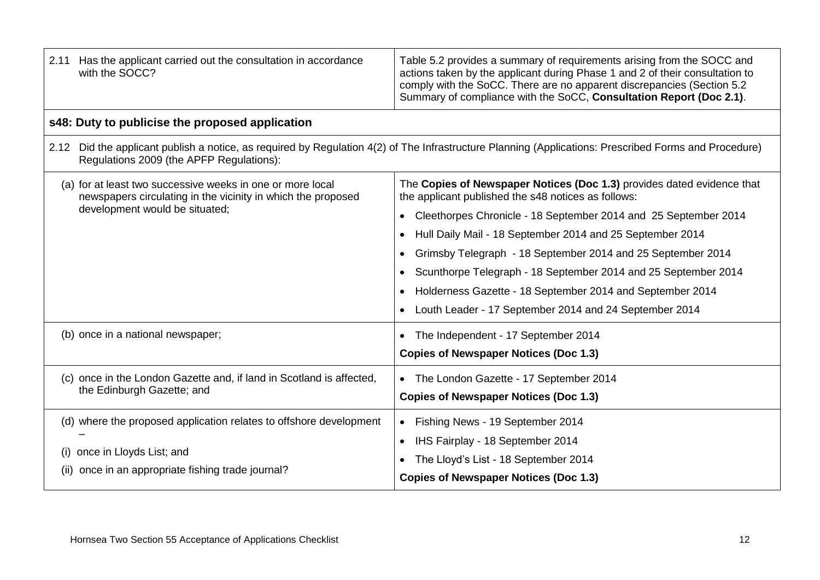| Has the applicant carried out the consultation in accordance<br>2.11<br>with the SOCC?                                                                       | Table 5.2 provides a summary of requirements arising from the SOCC and<br>actions taken by the applicant during Phase 1 and 2 of their consultation to<br>comply with the SoCC. There are no apparent discrepancies (Section 5.2<br>Summary of compliance with the SoCC, Consultation Report (Doc 2.1).                                                                                                                                                                                                                            |
|--------------------------------------------------------------------------------------------------------------------------------------------------------------|------------------------------------------------------------------------------------------------------------------------------------------------------------------------------------------------------------------------------------------------------------------------------------------------------------------------------------------------------------------------------------------------------------------------------------------------------------------------------------------------------------------------------------|
| s48: Duty to publicise the proposed application                                                                                                              |                                                                                                                                                                                                                                                                                                                                                                                                                                                                                                                                    |
| Regulations 2009 (the APFP Regulations):                                                                                                                     | 2.12 Did the applicant publish a notice, as required by Regulation 4(2) of The Infrastructure Planning (Applications: Prescribed Forms and Procedure)                                                                                                                                                                                                                                                                                                                                                                              |
| (a) for at least two successive weeks in one or more local<br>newspapers circulating in the vicinity in which the proposed<br>development would be situated; | The Copies of Newspaper Notices (Doc 1.3) provides dated evidence that<br>the applicant published the s48 notices as follows:<br>Cleethorpes Chronicle - 18 September 2014 and 25 September 2014<br>$\bullet$<br>Hull Daily Mail - 18 September 2014 and 25 September 2014<br>Grimsby Telegraph - 18 September 2014 and 25 September 2014<br>Scunthorpe Telegraph - 18 September 2014 and 25 September 2014<br>Holderness Gazette - 18 September 2014 and September 2014<br>Louth Leader - 17 September 2014 and 24 September 2014 |
| (b) once in a national newspaper;                                                                                                                            | The Independent - 17 September 2014<br><b>Copies of Newspaper Notices (Doc 1.3)</b>                                                                                                                                                                                                                                                                                                                                                                                                                                                |
| (c) once in the London Gazette and, if land in Scotland is affected,<br>the Edinburgh Gazette; and                                                           | • The London Gazette - 17 September 2014<br><b>Copies of Newspaper Notices (Doc 1.3)</b>                                                                                                                                                                                                                                                                                                                                                                                                                                           |
| (d) where the proposed application relates to offshore development<br>(i) once in Lloyds List; and<br>(ii) once in an appropriate fishing trade journal?     | • Fishing News - 19 September 2014<br>IHS Fairplay - 18 September 2014<br>$\bullet$<br>The Lloyd's List - 18 September 2014<br><b>Copies of Newspaper Notices (Doc 1.3)</b>                                                                                                                                                                                                                                                                                                                                                        |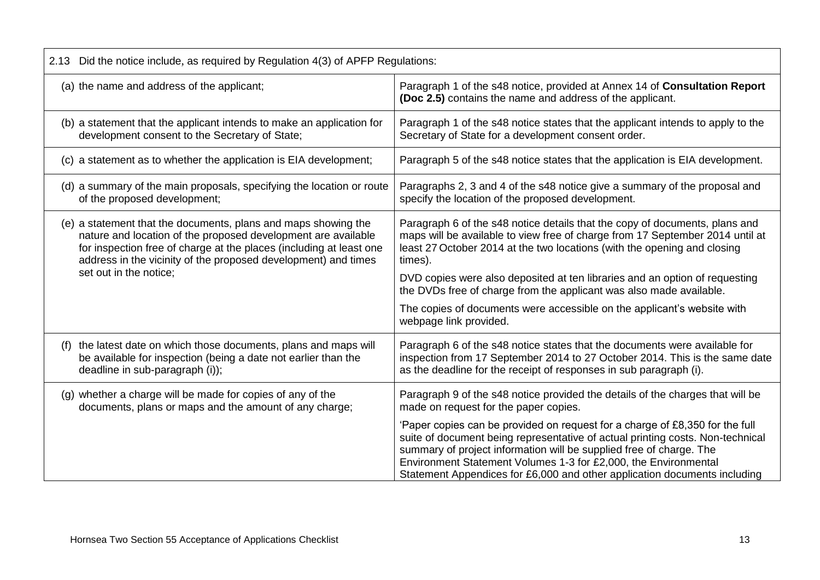| 2.13 Did the notice include, as required by Regulation 4(3) of APFP Regulations:                                                                                                                                                                                                                   |                                                                                                                                                                                                                                                                                                                                                                                       |  |
|----------------------------------------------------------------------------------------------------------------------------------------------------------------------------------------------------------------------------------------------------------------------------------------------------|---------------------------------------------------------------------------------------------------------------------------------------------------------------------------------------------------------------------------------------------------------------------------------------------------------------------------------------------------------------------------------------|--|
| (a) the name and address of the applicant;                                                                                                                                                                                                                                                         | Paragraph 1 of the s48 notice, provided at Annex 14 of Consultation Report<br>(Doc 2.5) contains the name and address of the applicant.                                                                                                                                                                                                                                               |  |
| (b) a statement that the applicant intends to make an application for<br>development consent to the Secretary of State;                                                                                                                                                                            | Paragraph 1 of the s48 notice states that the applicant intends to apply to the<br>Secretary of State for a development consent order.                                                                                                                                                                                                                                                |  |
| (c) a statement as to whether the application is EIA development;                                                                                                                                                                                                                                  | Paragraph 5 of the s48 notice states that the application is EIA development.                                                                                                                                                                                                                                                                                                         |  |
| (d) a summary of the main proposals, specifying the location or route<br>of the proposed development;                                                                                                                                                                                              | Paragraphs 2, 3 and 4 of the s48 notice give a summary of the proposal and<br>specify the location of the proposed development.                                                                                                                                                                                                                                                       |  |
| (e) a statement that the documents, plans and maps showing the<br>nature and location of the proposed development are available<br>for inspection free of charge at the places (including at least one<br>address in the vicinity of the proposed development) and times<br>set out in the notice; | Paragraph 6 of the s48 notice details that the copy of documents, plans and<br>maps will be available to view free of charge from 17 September 2014 until at<br>least 27 October 2014 at the two locations (with the opening and closing<br>times).                                                                                                                                   |  |
|                                                                                                                                                                                                                                                                                                    | DVD copies were also deposited at ten libraries and an option of requesting<br>the DVDs free of charge from the applicant was also made available.                                                                                                                                                                                                                                    |  |
|                                                                                                                                                                                                                                                                                                    | The copies of documents were accessible on the applicant's website with<br>webpage link provided.                                                                                                                                                                                                                                                                                     |  |
| the latest date on which those documents, plans and maps will<br>(f)<br>be available for inspection (being a date not earlier than the<br>deadline in sub-paragraph (i));                                                                                                                          | Paragraph 6 of the s48 notice states that the documents were available for<br>inspection from 17 September 2014 to 27 October 2014. This is the same date<br>as the deadline for the receipt of responses in sub paragraph (i).                                                                                                                                                       |  |
| (g) whether a charge will be made for copies of any of the<br>documents, plans or maps and the amount of any charge;                                                                                                                                                                               | Paragraph 9 of the s48 notice provided the details of the charges that will be<br>made on request for the paper copies.                                                                                                                                                                                                                                                               |  |
|                                                                                                                                                                                                                                                                                                    | 'Paper copies can be provided on request for a charge of £8,350 for the full<br>suite of document being representative of actual printing costs. Non-technical<br>summary of project information will be supplied free of charge. The<br>Environment Statement Volumes 1-3 for £2,000, the Environmental<br>Statement Appendices for £6,000 and other application documents including |  |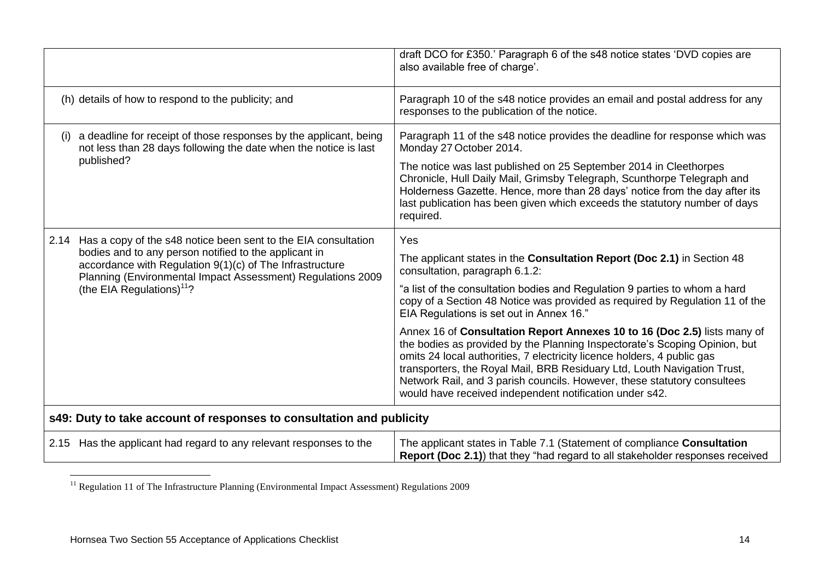|     |                                                                                                                                                                                                                                                                                         | draft DCO for £350.' Paragraph 6 of the s48 notice states 'DVD copies are<br>also available free of charge'.                                                                                                                                                                                                                                                                                                                                         |  |
|-----|-----------------------------------------------------------------------------------------------------------------------------------------------------------------------------------------------------------------------------------------------------------------------------------------|------------------------------------------------------------------------------------------------------------------------------------------------------------------------------------------------------------------------------------------------------------------------------------------------------------------------------------------------------------------------------------------------------------------------------------------------------|--|
|     | (h) details of how to respond to the publicity; and                                                                                                                                                                                                                                     | Paragraph 10 of the s48 notice provides an email and postal address for any<br>responses to the publication of the notice.                                                                                                                                                                                                                                                                                                                           |  |
| (i) | a deadline for receipt of those responses by the applicant, being<br>not less than 28 days following the date when the notice is last<br>published?                                                                                                                                     | Paragraph 11 of the s48 notice provides the deadline for response which was<br>Monday 27 October 2014.                                                                                                                                                                                                                                                                                                                                               |  |
|     |                                                                                                                                                                                                                                                                                         | The notice was last published on 25 September 2014 in Cleethorpes<br>Chronicle, Hull Daily Mail, Grimsby Telegraph, Scunthorpe Telegraph and<br>Holderness Gazette. Hence, more than 28 days' notice from the day after its<br>last publication has been given which exceeds the statutory number of days<br>required.                                                                                                                               |  |
|     | 2.14 Has a copy of the s48 notice been sent to the EIA consultation<br>bodies and to any person notified to the applicant in<br>accordance with Regulation 9(1)(c) of The Infrastructure<br>Planning (Environmental Impact Assessment) Regulations 2009<br>(the EIA Regulations) $11$ ? | Yes<br>The applicant states in the Consultation Report (Doc 2.1) in Section 48                                                                                                                                                                                                                                                                                                                                                                       |  |
|     |                                                                                                                                                                                                                                                                                         | consultation, paragraph 6.1.2:                                                                                                                                                                                                                                                                                                                                                                                                                       |  |
|     |                                                                                                                                                                                                                                                                                         | "a list of the consultation bodies and Regulation 9 parties to whom a hard<br>copy of a Section 48 Notice was provided as required by Regulation 11 of the<br>EIA Regulations is set out in Annex 16."                                                                                                                                                                                                                                               |  |
|     |                                                                                                                                                                                                                                                                                         | Annex 16 of Consultation Report Annexes 10 to 16 (Doc 2.5) lists many of<br>the bodies as provided by the Planning Inspectorate's Scoping Opinion, but<br>omits 24 local authorities, 7 electricity licence holders, 4 public gas<br>transporters, the Royal Mail, BRB Residuary Ltd, Louth Navigation Trust,<br>Network Rail, and 3 parish councils. However, these statutory consultees<br>would have received independent notification under s42. |  |
|     | s49: Duty to take account of responses to consultation and publicity                                                                                                                                                                                                                    |                                                                                                                                                                                                                                                                                                                                                                                                                                                      |  |
|     | 2.15 Has the applicant had regard to any relevant responses to the                                                                                                                                                                                                                      | The applicant states in Table 7.1 (Statement of compliance Consultation<br>Report (Doc 2.1)) that they "had regard to all stakeholder responses received                                                                                                                                                                                                                                                                                             |  |

<sup>1</sup> <sup>11</sup> Regulation 11 of The Infrastructure Planning (Environmental Impact Assessment) Regulations 2009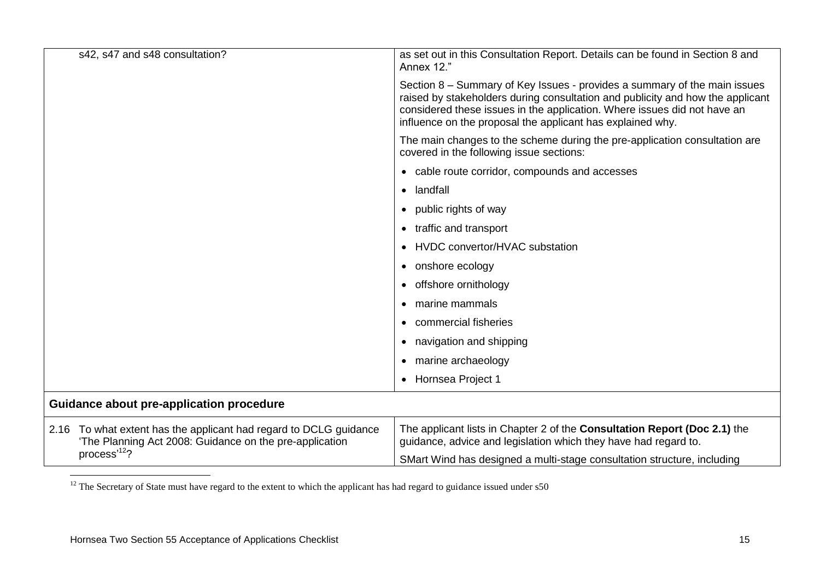|                                          | s42, s47 and s48 consultation?                                                                                               | as set out in this Consultation Report. Details can be found in Section 8 and<br>Annex 12."                                                                                                                                                                                                           |
|------------------------------------------|------------------------------------------------------------------------------------------------------------------------------|-------------------------------------------------------------------------------------------------------------------------------------------------------------------------------------------------------------------------------------------------------------------------------------------------------|
|                                          |                                                                                                                              | Section 8 – Summary of Key Issues - provides a summary of the main issues<br>raised by stakeholders during consultation and publicity and how the applicant<br>considered these issues in the application. Where issues did not have an<br>influence on the proposal the applicant has explained why. |
|                                          | The main changes to the scheme during the pre-application consultation are<br>covered in the following issue sections:       |                                                                                                                                                                                                                                                                                                       |
|                                          |                                                                                                                              | • cable route corridor, compounds and accesses                                                                                                                                                                                                                                                        |
|                                          |                                                                                                                              | • landfall                                                                                                                                                                                                                                                                                            |
|                                          | public rights of way                                                                                                         |                                                                                                                                                                                                                                                                                                       |
|                                          | traffic and transport                                                                                                        |                                                                                                                                                                                                                                                                                                       |
|                                          | HVDC convertor/HVAC substation                                                                                               |                                                                                                                                                                                                                                                                                                       |
|                                          | onshore ecology                                                                                                              |                                                                                                                                                                                                                                                                                                       |
|                                          | offshore ornithology<br>$\bullet$                                                                                            |                                                                                                                                                                                                                                                                                                       |
|                                          |                                                                                                                              | marine mammals<br>$\bullet$                                                                                                                                                                                                                                                                           |
|                                          |                                                                                                                              | commercial fisheries                                                                                                                                                                                                                                                                                  |
|                                          |                                                                                                                              | navigation and shipping                                                                                                                                                                                                                                                                               |
|                                          | marine archaeology<br>$\bullet$                                                                                              |                                                                                                                                                                                                                                                                                                       |
|                                          |                                                                                                                              | • Hornsea Project 1                                                                                                                                                                                                                                                                                   |
| Guidance about pre-application procedure |                                                                                                                              |                                                                                                                                                                                                                                                                                                       |
|                                          | 2.16 To what extent has the applicant had regard to DCLG guidance<br>'The Planning Act 2008: Guidance on the pre-application | The applicant lists in Chapter 2 of the Consultation Report (Doc 2.1) the<br>guidance, advice and legislation which they have had regard to.                                                                                                                                                          |
| process' <sup>12</sup> ?                 |                                                                                                                              | SMart Wind has designed a multi-stage consultation structure, including                                                                                                                                                                                                                               |

 $12$  The Secretary of State must have regard to the extent to which the applicant has had regard to guidance issued under  $s50$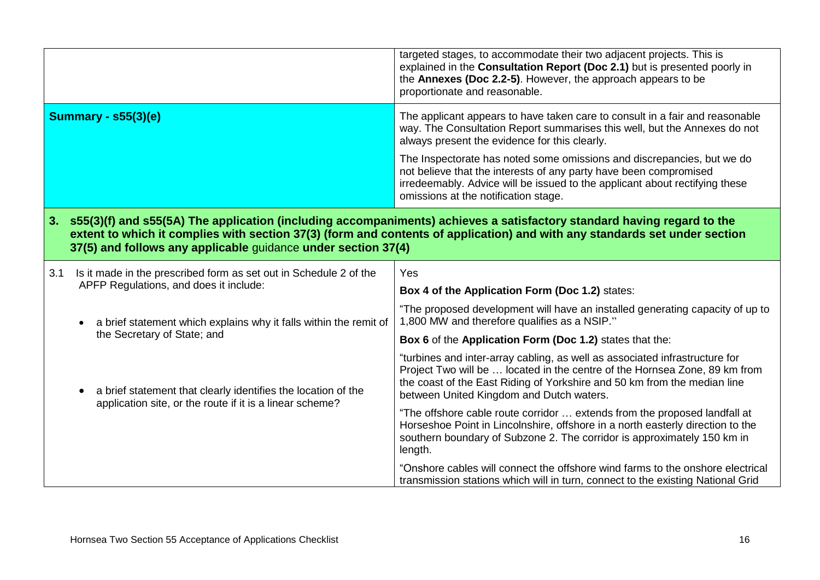|                                                                                                                                                                                                                                                                                                                             |                                                                                                                           | targeted stages, to accommodate their two adjacent projects. This is<br>explained in the Consultation Report (Doc 2.1) but is presented poorly in<br>the Annexes (Doc 2.2-5). However, the approach appears to be<br>proportionate and reasonable.                                |
|-----------------------------------------------------------------------------------------------------------------------------------------------------------------------------------------------------------------------------------------------------------------------------------------------------------------------------|---------------------------------------------------------------------------------------------------------------------------|-----------------------------------------------------------------------------------------------------------------------------------------------------------------------------------------------------------------------------------------------------------------------------------|
| <b>Summary - s55(3)(e)</b>                                                                                                                                                                                                                                                                                                  |                                                                                                                           | The applicant appears to have taken care to consult in a fair and reasonable<br>way. The Consultation Report summarises this well, but the Annexes do not<br>always present the evidence for this clearly.                                                                        |
|                                                                                                                                                                                                                                                                                                                             |                                                                                                                           | The Inspectorate has noted some omissions and discrepancies, but we do<br>not believe that the interests of any party have been compromised<br>irredeemably. Advice will be issued to the applicant about rectifying these<br>omissions at the notification stage.                |
| s55(3)(f) and s55(5A) The application (including accompaniments) achieves a satisfactory standard having regard to the<br>3.<br>extent to which it complies with section 37(3) (form and contents of application) and with any standards set under section<br>37(5) and follows any applicable guidance under section 37(4) |                                                                                                                           |                                                                                                                                                                                                                                                                                   |
| 3.1                                                                                                                                                                                                                                                                                                                         | Is it made in the prescribed form as set out in Schedule 2 of the<br>APFP Regulations, and does it include:               | Yes                                                                                                                                                                                                                                                                               |
|                                                                                                                                                                                                                                                                                                                             |                                                                                                                           | Box 4 of the Application Form (Doc 1.2) states:                                                                                                                                                                                                                                   |
|                                                                                                                                                                                                                                                                                                                             | a brief statement which explains why it falls within the remit of                                                         | "The proposed development will have an installed generating capacity of up to<br>1,800 MW and therefore qualifies as a NSIP."                                                                                                                                                     |
|                                                                                                                                                                                                                                                                                                                             | the Secretary of State; and                                                                                               | Box 6 of the Application Form (Doc 1.2) states that the:                                                                                                                                                                                                                          |
|                                                                                                                                                                                                                                                                                                                             | a brief statement that clearly identifies the location of the<br>application site, or the route if it is a linear scheme? | "turbines and inter-array cabling, as well as associated infrastructure for<br>Project Two will be  located in the centre of the Hornsea Zone, 89 km from<br>the coast of the East Riding of Yorkshire and 50 km from the median line<br>between United Kingdom and Dutch waters. |
|                                                                                                                                                                                                                                                                                                                             |                                                                                                                           | "The offshore cable route corridor  extends from the proposed landfall at<br>Horseshoe Point in Lincolnshire, offshore in a north easterly direction to the<br>southern boundary of Subzone 2. The corridor is approximately 150 km in<br>length.                                 |
|                                                                                                                                                                                                                                                                                                                             |                                                                                                                           | "Onshore cables will connect the offshore wind farms to the onshore electrical<br>transmission stations which will in turn, connect to the existing National Grid                                                                                                                 |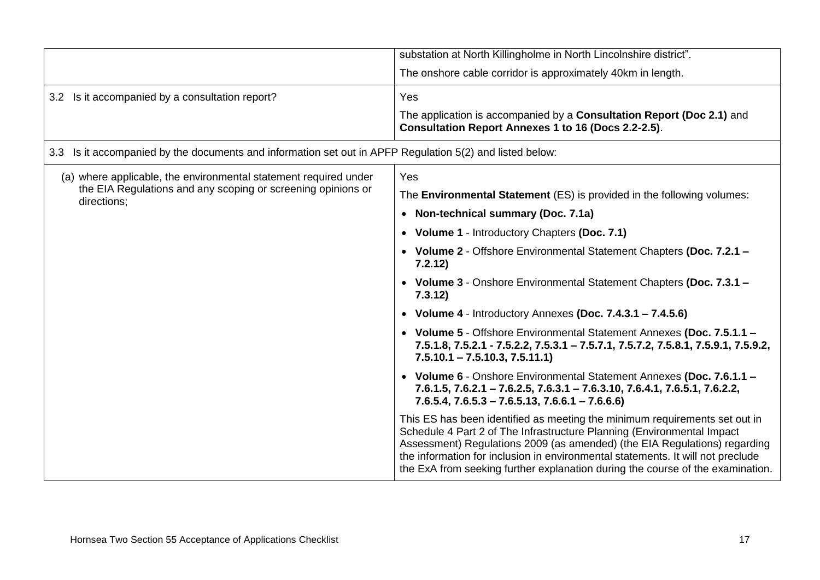|                                                                                                             | substation at North Killingholme in North Lincolnshire district".                                                                                                                                                                                                                                                                                                                                      |  |
|-------------------------------------------------------------------------------------------------------------|--------------------------------------------------------------------------------------------------------------------------------------------------------------------------------------------------------------------------------------------------------------------------------------------------------------------------------------------------------------------------------------------------------|--|
|                                                                                                             | The onshore cable corridor is approximately 40km in length.                                                                                                                                                                                                                                                                                                                                            |  |
| 3.2 Is it accompanied by a consultation report?                                                             | Yes                                                                                                                                                                                                                                                                                                                                                                                                    |  |
|                                                                                                             | The application is accompanied by a Consultation Report (Doc 2.1) and<br><b>Consultation Report Annexes 1 to 16 (Docs 2.2-2.5).</b>                                                                                                                                                                                                                                                                    |  |
| Is it accompanied by the documents and information set out in APFP Regulation 5(2) and listed below:<br>3.3 |                                                                                                                                                                                                                                                                                                                                                                                                        |  |
| (a) where applicable, the environmental statement required under                                            | Yes                                                                                                                                                                                                                                                                                                                                                                                                    |  |
| the EIA Regulations and any scoping or screening opinions or<br>directions;                                 | The <b>Environmental Statement</b> (ES) is provided in the following volumes:                                                                                                                                                                                                                                                                                                                          |  |
|                                                                                                             | • Non-technical summary (Doc. 7.1a)                                                                                                                                                                                                                                                                                                                                                                    |  |
|                                                                                                             | • Volume 1 - Introductory Chapters (Doc. 7.1)                                                                                                                                                                                                                                                                                                                                                          |  |
|                                                                                                             | • Volume 2 - Offshore Environmental Statement Chapters (Doc. 7.2.1 -<br>7.2.12)                                                                                                                                                                                                                                                                                                                        |  |
|                                                                                                             | • Volume 3 - Onshore Environmental Statement Chapters (Doc. 7.3.1 -<br>7.3.12)                                                                                                                                                                                                                                                                                                                         |  |
|                                                                                                             | • Volume $4$ - Introductory Annexes (Doc. $7.4.3.1 - 7.4.5.6$ )                                                                                                                                                                                                                                                                                                                                        |  |
|                                                                                                             | • Volume 5 - Offshore Environmental Statement Annexes (Doc. 7.5.1.1 -<br>7.5.1.8, 7.5.2.1 - 7.5.2.2, 7.5.3.1 - 7.5.7.1, 7.5.7.2, 7.5.8.1, 7.5.9.1, 7.5.9.2,<br>$7.5.10.1 - 7.5.10.3, 7.5.11.1$                                                                                                                                                                                                         |  |
|                                                                                                             | • Volume 6 - Onshore Environmental Statement Annexes (Doc. 7.6.1.1 -<br>$7.6.1.5, 7.6.2.1 - 7.6.2.5, 7.6.3.1 - 7.6.3.10, 7.6.4.1, 7.6.5.1, 7.6.2.2,$<br>$7.6.5.4$ , $7.6.5.3 - 7.6.5.13$ , $7.6.6.1 - 7.6.6.6$                                                                                                                                                                                         |  |
|                                                                                                             | This ES has been identified as meeting the minimum requirements set out in<br>Schedule 4 Part 2 of The Infrastructure Planning (Environmental Impact<br>Assessment) Regulations 2009 (as amended) (the EIA Regulations) regarding<br>the information for inclusion in environmental statements. It will not preclude<br>the ExA from seeking further explanation during the course of the examination. |  |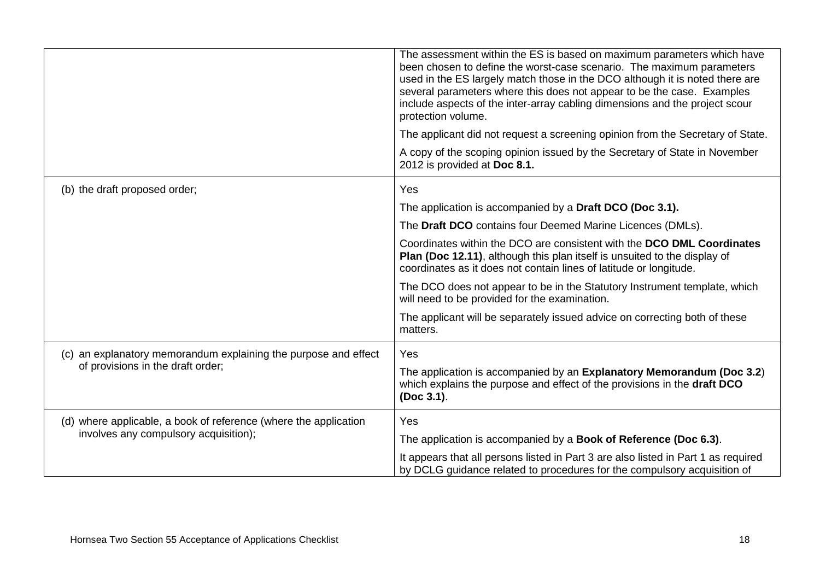|                                                                  | The assessment within the ES is based on maximum parameters which have<br>been chosen to define the worst-case scenario. The maximum parameters<br>used in the ES largely match those in the DCO although it is noted there are<br>several parameters where this does not appear to be the case. Examples<br>include aspects of the inter-array cabling dimensions and the project scour<br>protection volume. |
|------------------------------------------------------------------|----------------------------------------------------------------------------------------------------------------------------------------------------------------------------------------------------------------------------------------------------------------------------------------------------------------------------------------------------------------------------------------------------------------|
|                                                                  | The applicant did not request a screening opinion from the Secretary of State.                                                                                                                                                                                                                                                                                                                                 |
|                                                                  | A copy of the scoping opinion issued by the Secretary of State in November<br>2012 is provided at Doc 8.1.                                                                                                                                                                                                                                                                                                     |
| (b) the draft proposed order;                                    | Yes                                                                                                                                                                                                                                                                                                                                                                                                            |
|                                                                  | The application is accompanied by a Draft DCO (Doc 3.1).                                                                                                                                                                                                                                                                                                                                                       |
|                                                                  | The Draft DCO contains four Deemed Marine Licences (DMLs).                                                                                                                                                                                                                                                                                                                                                     |
|                                                                  | Coordinates within the DCO are consistent with the DCO DML Coordinates<br>Plan (Doc 12.11), although this plan itself is unsuited to the display of<br>coordinates as it does not contain lines of latitude or longitude.                                                                                                                                                                                      |
|                                                                  | The DCO does not appear to be in the Statutory Instrument template, which<br>will need to be provided for the examination.                                                                                                                                                                                                                                                                                     |
|                                                                  | The applicant will be separately issued advice on correcting both of these<br>matters.                                                                                                                                                                                                                                                                                                                         |
| (c) an explanatory memorandum explaining the purpose and effect  | Yes                                                                                                                                                                                                                                                                                                                                                                                                            |
| of provisions in the draft order;                                | The application is accompanied by an Explanatory Memorandum (Doc 3.2)<br>which explains the purpose and effect of the provisions in the draft DCO<br>(Doc 3.1).                                                                                                                                                                                                                                                |
| (d) where applicable, a book of reference (where the application | Yes                                                                                                                                                                                                                                                                                                                                                                                                            |
| involves any compulsory acquisition);                            | The application is accompanied by a Book of Reference (Doc 6.3).                                                                                                                                                                                                                                                                                                                                               |
|                                                                  | It appears that all persons listed in Part 3 are also listed in Part 1 as required<br>by DCLG guidance related to procedures for the compulsory acquisition of                                                                                                                                                                                                                                                 |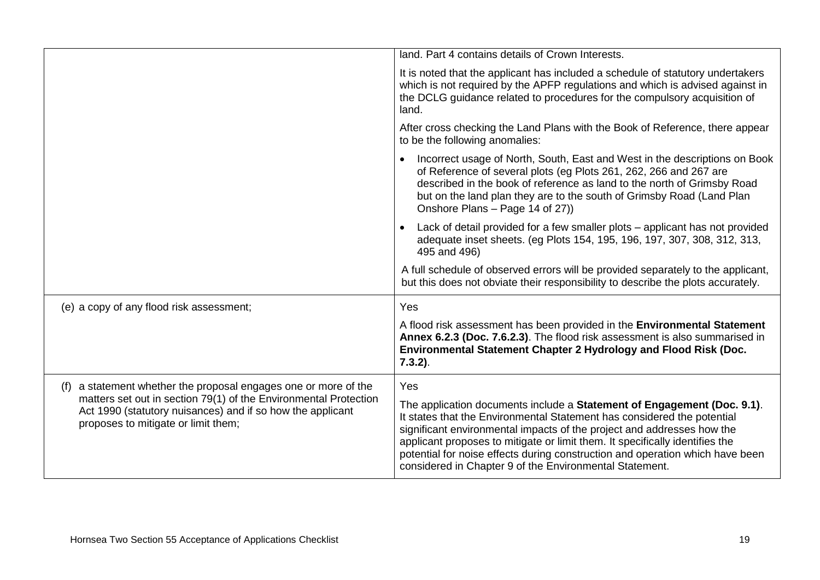|                                                                                                                                                                       | land. Part 4 contains details of Crown Interests.                                                                                                                                                                                                                                                                                                                                                                                                        |
|-----------------------------------------------------------------------------------------------------------------------------------------------------------------------|----------------------------------------------------------------------------------------------------------------------------------------------------------------------------------------------------------------------------------------------------------------------------------------------------------------------------------------------------------------------------------------------------------------------------------------------------------|
|                                                                                                                                                                       | It is noted that the applicant has included a schedule of statutory undertakers<br>which is not required by the APFP regulations and which is advised against in<br>the DCLG guidance related to procedures for the compulsory acquisition of<br>land.                                                                                                                                                                                                   |
|                                                                                                                                                                       | After cross checking the Land Plans with the Book of Reference, there appear<br>to be the following anomalies:                                                                                                                                                                                                                                                                                                                                           |
|                                                                                                                                                                       | Incorrect usage of North, South, East and West in the descriptions on Book<br>of Reference of several plots (eg Plots 261, 262, 266 and 267 are<br>described in the book of reference as land to the north of Grimsby Road<br>but on the land plan they are to the south of Grimsby Road (Land Plan<br>Onshore Plans - Page 14 of 27))                                                                                                                   |
|                                                                                                                                                                       | Lack of detail provided for a few smaller plots – applicant has not provided<br>adequate inset sheets. (eg Plots 154, 195, 196, 197, 307, 308, 312, 313,<br>495 and 496)                                                                                                                                                                                                                                                                                 |
|                                                                                                                                                                       | A full schedule of observed errors will be provided separately to the applicant,<br>but this does not obviate their responsibility to describe the plots accurately.                                                                                                                                                                                                                                                                                     |
| (e) a copy of any flood risk assessment;                                                                                                                              | Yes                                                                                                                                                                                                                                                                                                                                                                                                                                                      |
|                                                                                                                                                                       | A flood risk assessment has been provided in the Environmental Statement<br>Annex 6.2.3 (Doc. 7.6.2.3). The flood risk assessment is also summarised in<br>Environmental Statement Chapter 2 Hydrology and Flood Risk (Doc.<br>$7.3.2$ ).                                                                                                                                                                                                                |
| a statement whether the proposal engages one or more of the<br>(f)                                                                                                    | Yes                                                                                                                                                                                                                                                                                                                                                                                                                                                      |
| matters set out in section 79(1) of the Environmental Protection<br>Act 1990 (statutory nuisances) and if so how the applicant<br>proposes to mitigate or limit them; | The application documents include a Statement of Engagement (Doc. 9.1).<br>It states that the Environmental Statement has considered the potential<br>significant environmental impacts of the project and addresses how the<br>applicant proposes to mitigate or limit them. It specifically identifies the<br>potential for noise effects during construction and operation which have been<br>considered in Chapter 9 of the Environmental Statement. |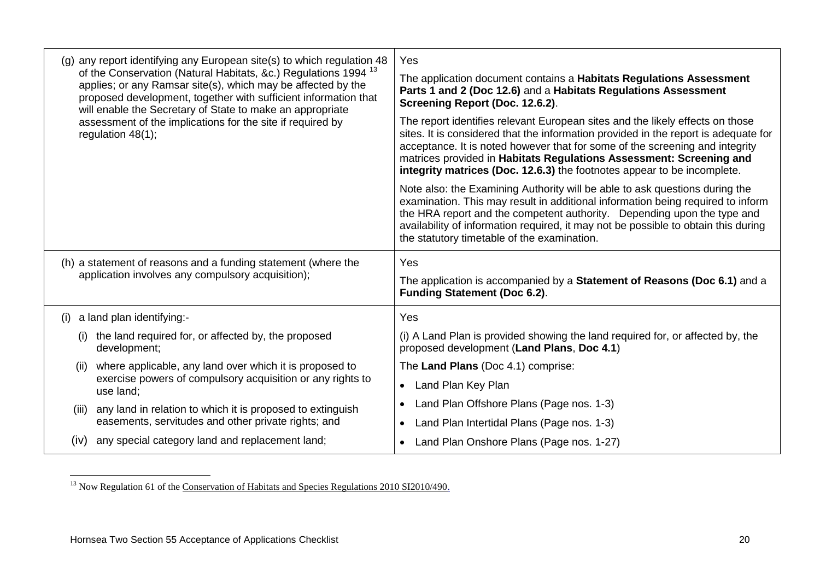| (g) any report identifying any European site(s) to which regulation 48                                                                                                                                                                                                     | Yes                                                                                                                                                                                                                                                                                                                                                                                                    |
|----------------------------------------------------------------------------------------------------------------------------------------------------------------------------------------------------------------------------------------------------------------------------|--------------------------------------------------------------------------------------------------------------------------------------------------------------------------------------------------------------------------------------------------------------------------------------------------------------------------------------------------------------------------------------------------------|
| of the Conservation (Natural Habitats, &c.) Regulations 1994 <sup>13</sup><br>applies; or any Ramsar site(s), which may be affected by the<br>proposed development, together with sufficient information that<br>will enable the Secretary of State to make an appropriate | The application document contains a Habitats Regulations Assessment<br>Parts 1 and 2 (Doc 12.6) and a Habitats Regulations Assessment<br>Screening Report (Doc. 12.6.2).                                                                                                                                                                                                                               |
| assessment of the implications for the site if required by<br>regulation $48(1)$ ;                                                                                                                                                                                         | The report identifies relevant European sites and the likely effects on those<br>sites. It is considered that the information provided in the report is adequate for<br>acceptance. It is noted however that for some of the screening and integrity<br>matrices provided in Habitats Regulations Assessment: Screening and<br>integrity matrices (Doc. 12.6.3) the footnotes appear to be incomplete. |
|                                                                                                                                                                                                                                                                            | Note also: the Examining Authority will be able to ask questions during the<br>examination. This may result in additional information being required to inform<br>the HRA report and the competent authority. Depending upon the type and<br>availability of information required, it may not be possible to obtain this during<br>the statutory timetable of the examination.                         |
|                                                                                                                                                                                                                                                                            |                                                                                                                                                                                                                                                                                                                                                                                                        |
| (h) a statement of reasons and a funding statement (where the<br>application involves any compulsory acquisition);                                                                                                                                                         | Yes<br>The application is accompanied by a Statement of Reasons (Doc 6.1) and a<br><b>Funding Statement (Doc 6.2).</b>                                                                                                                                                                                                                                                                                 |
| $(i)$ a land plan identifying:-                                                                                                                                                                                                                                            | Yes                                                                                                                                                                                                                                                                                                                                                                                                    |
| the land required for, or affected by, the proposed<br>(i)<br>development;                                                                                                                                                                                                 | (i) A Land Plan is provided showing the land required for, or affected by, the<br>proposed development (Land Plans, Doc 4.1)                                                                                                                                                                                                                                                                           |
| where applicable, any land over which it is proposed to<br>(ii)                                                                                                                                                                                                            | The Land Plans (Doc 4.1) comprise:                                                                                                                                                                                                                                                                                                                                                                     |
| exercise powers of compulsory acquisition or any rights to<br>use land;                                                                                                                                                                                                    | Land Plan Key Plan<br>$\bullet$                                                                                                                                                                                                                                                                                                                                                                        |
| any land in relation to which it is proposed to extinguish<br>(iii)                                                                                                                                                                                                        | Land Plan Offshore Plans (Page nos. 1-3)                                                                                                                                                                                                                                                                                                                                                               |
| easements, servitudes and other private rights; and                                                                                                                                                                                                                        | Land Plan Intertidal Plans (Page nos. 1-3)<br>$\bullet$                                                                                                                                                                                                                                                                                                                                                |

<sup>1</sup> <sup>13</sup> Now Regulation 61 of the [Conservation of Habitats and Species Regulations 2010 SI2010/490.](http://www.legislation.gov.uk/uksi/2010/490/pdfs/uksi_20100490_en.pdf)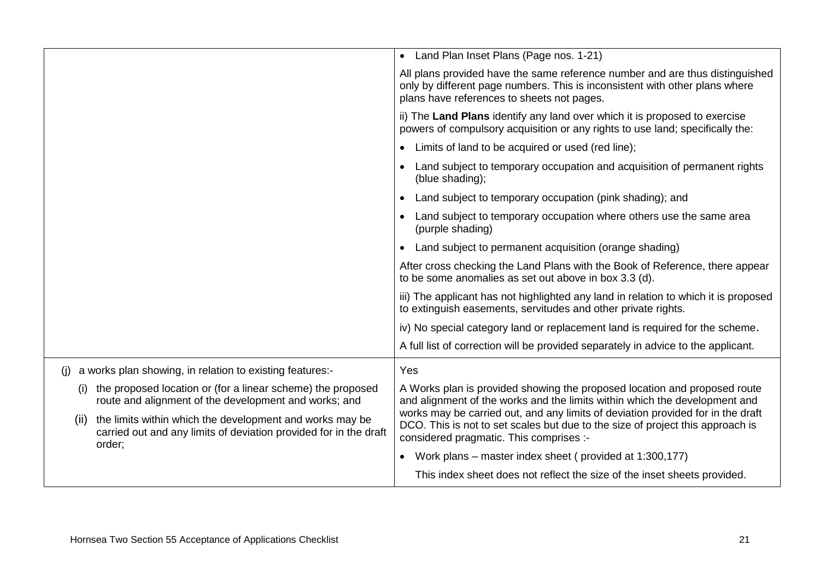|                                                                                                                                                 | • Land Plan Inset Plans (Page nos. 1-21)                                                                                                                                                                     |
|-------------------------------------------------------------------------------------------------------------------------------------------------|--------------------------------------------------------------------------------------------------------------------------------------------------------------------------------------------------------------|
|                                                                                                                                                 | All plans provided have the same reference number and are thus distinguished<br>only by different page numbers. This is inconsistent with other plans where<br>plans have references to sheets not pages.    |
|                                                                                                                                                 | ii) The Land Plans identify any land over which it is proposed to exercise<br>powers of compulsory acquisition or any rights to use land; specifically the:                                                  |
|                                                                                                                                                 | Limits of land to be acquired or used (red line);                                                                                                                                                            |
|                                                                                                                                                 | Land subject to temporary occupation and acquisition of permanent rights<br>(blue shading);                                                                                                                  |
|                                                                                                                                                 | Land subject to temporary occupation (pink shading); and                                                                                                                                                     |
|                                                                                                                                                 | Land subject to temporary occupation where others use the same area<br>(purple shading)                                                                                                                      |
|                                                                                                                                                 | Land subject to permanent acquisition (orange shading)                                                                                                                                                       |
|                                                                                                                                                 | After cross checking the Land Plans with the Book of Reference, there appear<br>to be some anomalies as set out above in box 3.3 (d).                                                                        |
|                                                                                                                                                 | iii) The applicant has not highlighted any land in relation to which it is proposed<br>to extinguish easements, servitudes and other private rights.                                                         |
|                                                                                                                                                 | iv) No special category land or replacement land is required for the scheme.                                                                                                                                 |
|                                                                                                                                                 | A full list of correction will be provided separately in advice to the applicant.                                                                                                                            |
| a works plan showing, in relation to existing features:-<br>(i)                                                                                 | Yes                                                                                                                                                                                                          |
| the proposed location or (for a linear scheme) the proposed<br>(i)<br>route and alignment of the development and works; and                     | A Works plan is provided showing the proposed location and proposed route<br>and alignment of the works and the limits within which the development and                                                      |
| the limits within which the development and works may be<br>(ii)<br>carried out and any limits of deviation provided for in the draft<br>order; | works may be carried out, and any limits of deviation provided for in the draft<br>DCO. This is not to set scales but due to the size of project this approach is<br>considered pragmatic. This comprises :- |
|                                                                                                                                                 | Work plans – master index sheet (provided at 1:300,177)                                                                                                                                                      |
|                                                                                                                                                 | This index sheet does not reflect the size of the inset sheets provided.                                                                                                                                     |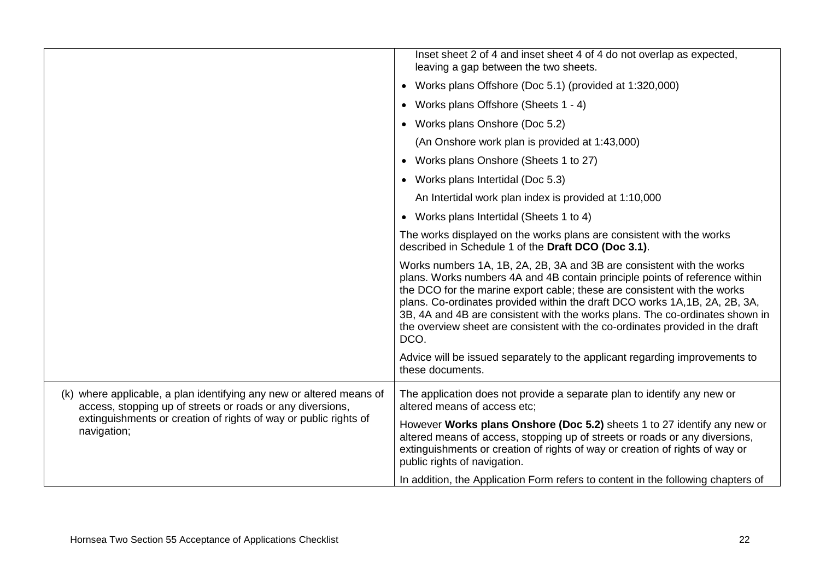|                                                                                                                                    | Inset sheet 2 of 4 and inset sheet 4 of 4 do not overlap as expected,<br>leaving a gap between the two sheets.                                                                                                                                                                                                                                                                                                                                                                           |
|------------------------------------------------------------------------------------------------------------------------------------|------------------------------------------------------------------------------------------------------------------------------------------------------------------------------------------------------------------------------------------------------------------------------------------------------------------------------------------------------------------------------------------------------------------------------------------------------------------------------------------|
|                                                                                                                                    | Works plans Offshore (Doc 5.1) (provided at 1:320,000)<br>$\bullet$                                                                                                                                                                                                                                                                                                                                                                                                                      |
|                                                                                                                                    | Works plans Offshore (Sheets 1 - 4)<br>$\bullet$                                                                                                                                                                                                                                                                                                                                                                                                                                         |
|                                                                                                                                    | • Works plans Onshore (Doc 5.2)                                                                                                                                                                                                                                                                                                                                                                                                                                                          |
|                                                                                                                                    | (An Onshore work plan is provided at 1:43,000)                                                                                                                                                                                                                                                                                                                                                                                                                                           |
|                                                                                                                                    | Works plans Onshore (Sheets 1 to 27)<br>$\bullet$                                                                                                                                                                                                                                                                                                                                                                                                                                        |
|                                                                                                                                    | • Works plans Intertidal (Doc 5.3)                                                                                                                                                                                                                                                                                                                                                                                                                                                       |
|                                                                                                                                    | An Intertidal work plan index is provided at 1:10,000                                                                                                                                                                                                                                                                                                                                                                                                                                    |
|                                                                                                                                    | • Works plans Intertidal (Sheets 1 to 4)                                                                                                                                                                                                                                                                                                                                                                                                                                                 |
|                                                                                                                                    | The works displayed on the works plans are consistent with the works<br>described in Schedule 1 of the Draft DCO (Doc 3.1).                                                                                                                                                                                                                                                                                                                                                              |
|                                                                                                                                    | Works numbers 1A, 1B, 2A, 2B, 3A and 3B are consistent with the works<br>plans. Works numbers 4A and 4B contain principle points of reference within<br>the DCO for the marine export cable; these are consistent with the works<br>plans. Co-ordinates provided within the draft DCO works 1A, 1B, 2A, 2B, 3A,<br>3B, 4A and 4B are consistent with the works plans. The co-ordinates shown in<br>the overview sheet are consistent with the co-ordinates provided in the draft<br>DCO. |
|                                                                                                                                    | Advice will be issued separately to the applicant regarding improvements to<br>these documents.                                                                                                                                                                                                                                                                                                                                                                                          |
| (k) where applicable, a plan identifying any new or altered means of<br>access, stopping up of streets or roads or any diversions, | The application does not provide a separate plan to identify any new or<br>altered means of access etc;                                                                                                                                                                                                                                                                                                                                                                                  |
| extinguishments or creation of rights of way or public rights of<br>navigation;                                                    | However Works plans Onshore (Doc 5.2) sheets 1 to 27 identify any new or<br>altered means of access, stopping up of streets or roads or any diversions,<br>extinguishments or creation of rights of way or creation of rights of way or<br>public rights of navigation.                                                                                                                                                                                                                  |
|                                                                                                                                    | In addition, the Application Form refers to content in the following chapters of                                                                                                                                                                                                                                                                                                                                                                                                         |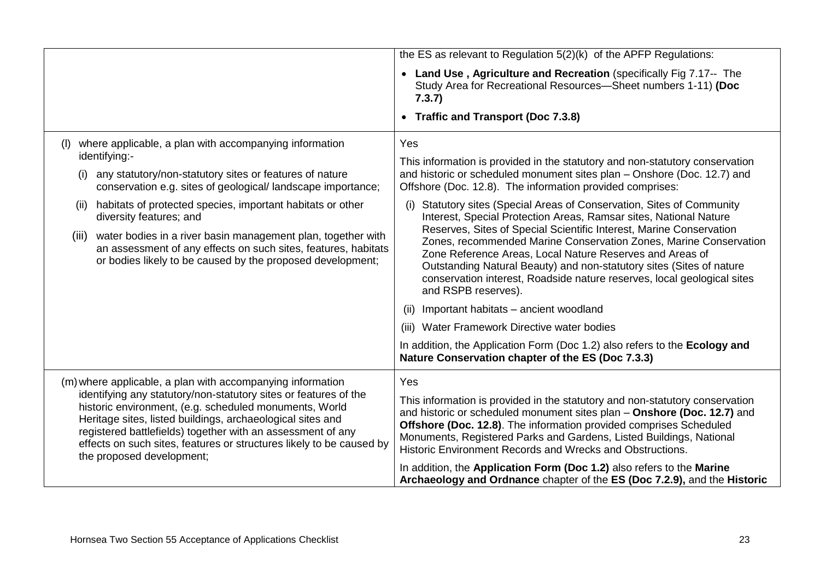|                                                                                                                                                                                                                                                                                                                                                              | the ES as relevant to Regulation 5(2)(k) of the APFP Regulations:                                                                                                                                                                                                                                                                                                              |
|--------------------------------------------------------------------------------------------------------------------------------------------------------------------------------------------------------------------------------------------------------------------------------------------------------------------------------------------------------------|--------------------------------------------------------------------------------------------------------------------------------------------------------------------------------------------------------------------------------------------------------------------------------------------------------------------------------------------------------------------------------|
|                                                                                                                                                                                                                                                                                                                                                              | • Land Use, Agriculture and Recreation (specifically Fig 7.17-- The<br>Study Area for Recreational Resources-Sheet numbers 1-11) (Doc<br>7.3.7)                                                                                                                                                                                                                                |
|                                                                                                                                                                                                                                                                                                                                                              | • Traffic and Transport (Doc 7.3.8)                                                                                                                                                                                                                                                                                                                                            |
| where applicable, a plan with accompanying information<br>(I)<br>identifying:-                                                                                                                                                                                                                                                                               | Yes                                                                                                                                                                                                                                                                                                                                                                            |
| any statutory/non-statutory sites or features of nature<br>(i)<br>conservation e.g. sites of geological/landscape importance;                                                                                                                                                                                                                                | This information is provided in the statutory and non-statutory conservation<br>and historic or scheduled monument sites plan - Onshore (Doc. 12.7) and<br>Offshore (Doc. 12.8). The information provided comprises:                                                                                                                                                           |
| habitats of protected species, important habitats or other<br>(ii)<br>diversity features; and                                                                                                                                                                                                                                                                | Statutory sites (Special Areas of Conservation, Sites of Community<br>(i)<br>Interest, Special Protection Areas, Ramsar sites, National Nature                                                                                                                                                                                                                                 |
| water bodies in a river basin management plan, together with<br>(iii)<br>an assessment of any effects on such sites, features, habitats<br>or bodies likely to be caused by the proposed development;                                                                                                                                                        | Reserves, Sites of Special Scientific Interest, Marine Conservation<br>Zones, recommended Marine Conservation Zones, Marine Conservation<br>Zone Reference Areas, Local Nature Reserves and Areas of<br>Outstanding Natural Beauty) and non-statutory sites (Sites of nature<br>conservation interest, Roadside nature reserves, local geological sites<br>and RSPB reserves). |
|                                                                                                                                                                                                                                                                                                                                                              | Important habitats - ancient woodland<br>(11)                                                                                                                                                                                                                                                                                                                                  |
|                                                                                                                                                                                                                                                                                                                                                              | (iii) Water Framework Directive water bodies                                                                                                                                                                                                                                                                                                                                   |
|                                                                                                                                                                                                                                                                                                                                                              | In addition, the Application Form (Doc 1.2) also refers to the Ecology and<br>Nature Conservation chapter of the ES (Doc 7.3.3)                                                                                                                                                                                                                                                |
| (m) where applicable, a plan with accompanying information                                                                                                                                                                                                                                                                                                   | Yes                                                                                                                                                                                                                                                                                                                                                                            |
| identifying any statutory/non-statutory sites or features of the<br>historic environment, (e.g. scheduled monuments, World<br>Heritage sites, listed buildings, archaeological sites and<br>registered battlefields) together with an assessment of any<br>effects on such sites, features or structures likely to be caused by<br>the proposed development; | This information is provided in the statutory and non-statutory conservation<br>and historic or scheduled monument sites plan - Onshore (Doc. 12.7) and<br>Offshore (Doc. 12.8). The information provided comprises Scheduled<br>Monuments, Registered Parks and Gardens, Listed Buildings, National<br>Historic Environment Records and Wrecks and Obstructions.              |
|                                                                                                                                                                                                                                                                                                                                                              | In addition, the Application Form (Doc 1.2) also refers to the Marine<br>Archaeology and Ordnance chapter of the ES (Doc 7.2.9), and the Historic                                                                                                                                                                                                                              |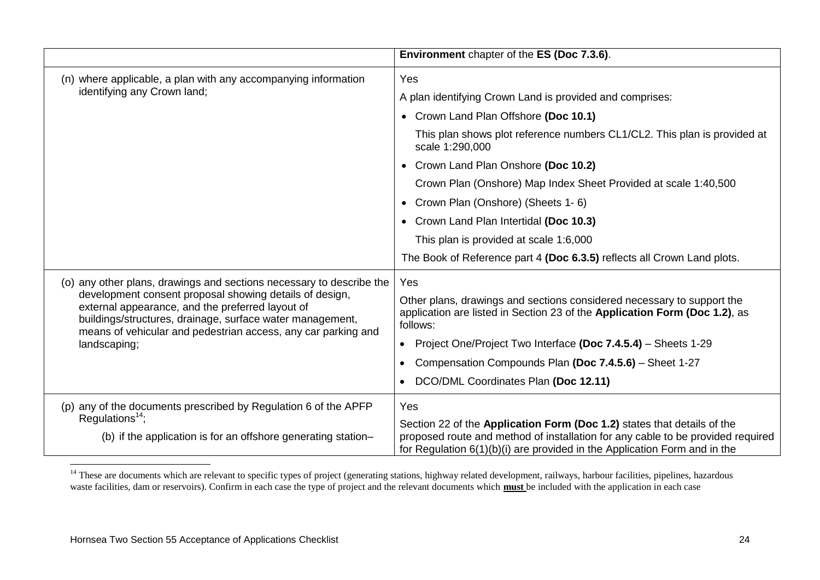|                                                                                                                                                                                                                                           | Environment chapter of the ES (Doc 7.3.6).                                                                                                                                                                                              |
|-------------------------------------------------------------------------------------------------------------------------------------------------------------------------------------------------------------------------------------------|-----------------------------------------------------------------------------------------------------------------------------------------------------------------------------------------------------------------------------------------|
| (n) where applicable, a plan with any accompanying information                                                                                                                                                                            | Yes                                                                                                                                                                                                                                     |
| identifying any Crown land;                                                                                                                                                                                                               | A plan identifying Crown Land is provided and comprises:                                                                                                                                                                                |
|                                                                                                                                                                                                                                           | • Crown Land Plan Offshore (Doc 10.1)                                                                                                                                                                                                   |
|                                                                                                                                                                                                                                           | This plan shows plot reference numbers CL1/CL2. This plan is provided at<br>scale 1:290,000                                                                                                                                             |
|                                                                                                                                                                                                                                           | • Crown Land Plan Onshore (Doc 10.2)                                                                                                                                                                                                    |
|                                                                                                                                                                                                                                           | Crown Plan (Onshore) Map Index Sheet Provided at scale 1:40,500                                                                                                                                                                         |
|                                                                                                                                                                                                                                           | • Crown Plan (Onshore) (Sheets 1-6)                                                                                                                                                                                                     |
|                                                                                                                                                                                                                                           | • Crown Land Plan Intertidal (Doc 10.3)                                                                                                                                                                                                 |
|                                                                                                                                                                                                                                           | This plan is provided at scale 1:6,000                                                                                                                                                                                                  |
|                                                                                                                                                                                                                                           | The Book of Reference part 4 (Doc 6.3.5) reflects all Crown Land plots.                                                                                                                                                                 |
| (o) any other plans, drawings and sections necessary to describe the                                                                                                                                                                      | Yes                                                                                                                                                                                                                                     |
| development consent proposal showing details of design,<br>external appearance, and the preferred layout of<br>buildings/structures, drainage, surface water management,<br>means of vehicular and pedestrian access, any car parking and | Other plans, drawings and sections considered necessary to support the<br>application are listed in Section 23 of the Application Form (Doc 1.2), as<br>follows:                                                                        |
| landscaping;                                                                                                                                                                                                                              | Project One/Project Two Interface (Doc 7.4.5.4) - Sheets 1-29<br>$\bullet$                                                                                                                                                              |
|                                                                                                                                                                                                                                           | Compensation Compounds Plan (Doc 7.4.5.6) - Sheet 1-27                                                                                                                                                                                  |
|                                                                                                                                                                                                                                           | DCO/DML Coordinates Plan (Doc 12.11)                                                                                                                                                                                                    |
| (p) any of the documents prescribed by Regulation 6 of the APFP                                                                                                                                                                           | Yes                                                                                                                                                                                                                                     |
| Regulations <sup>14</sup> ;<br>(b) if the application is for an offshore generating station-                                                                                                                                              | Section 22 of the Application Form (Doc 1.2) states that details of the<br>proposed route and method of installation for any cable to be provided required<br>for Regulation 6(1)(b)(i) are provided in the Application Form and in the |

<sup>&</sup>lt;sup>14</sup> These are documents which are relevant to specific types of project (generating stations, highway related development, railways, harbour facilities, pipelines, hazardous waste facilities, dam or reservoirs). Confirm in each case the type of project and the relevant documents which **must** be included with the application in each case

1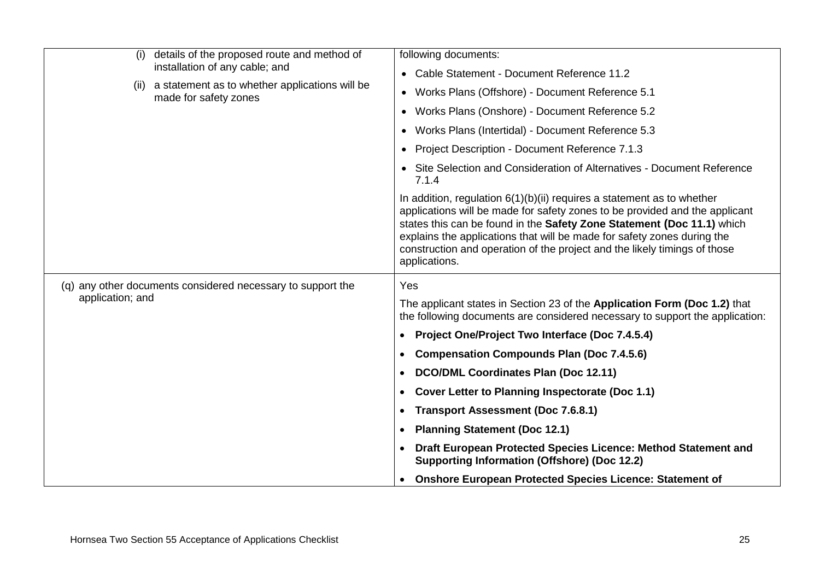| (i)              | details of the proposed route and method of                                                                    | following documents:                                                                                                                                                                                                                                                                                                                                                                                       |
|------------------|----------------------------------------------------------------------------------------------------------------|------------------------------------------------------------------------------------------------------------------------------------------------------------------------------------------------------------------------------------------------------------------------------------------------------------------------------------------------------------------------------------------------------------|
|                  | installation of any cable; and<br>(ii) a statement as to whether applications will be<br>made for safety zones | • Cable Statement - Document Reference 11.2                                                                                                                                                                                                                                                                                                                                                                |
|                  |                                                                                                                | Works Plans (Offshore) - Document Reference 5.1<br>$\bullet$                                                                                                                                                                                                                                                                                                                                               |
|                  |                                                                                                                | Works Plans (Onshore) - Document Reference 5.2<br>$\bullet$                                                                                                                                                                                                                                                                                                                                                |
|                  |                                                                                                                | Works Plans (Intertidal) - Document Reference 5.3<br>$\bullet$                                                                                                                                                                                                                                                                                                                                             |
|                  |                                                                                                                | Project Description - Document Reference 7.1.3<br>$\bullet$                                                                                                                                                                                                                                                                                                                                                |
|                  |                                                                                                                | Site Selection and Consideration of Alternatives - Document Reference<br>7.1.4                                                                                                                                                                                                                                                                                                                             |
|                  |                                                                                                                | In addition, regulation $6(1)(b)(ii)$ requires a statement as to whether<br>applications will be made for safety zones to be provided and the applicant<br>states this can be found in the Safety Zone Statement (Doc 11.1) which<br>explains the applications that will be made for safety zones during the<br>construction and operation of the project and the likely timings of those<br>applications. |
|                  | (q) any other documents considered necessary to support the                                                    | Yes                                                                                                                                                                                                                                                                                                                                                                                                        |
| application; and |                                                                                                                | The applicant states in Section 23 of the Application Form (Doc 1.2) that<br>the following documents are considered necessary to support the application:                                                                                                                                                                                                                                                  |
|                  |                                                                                                                | <b>Project One/Project Two Interface (Doc 7.4.5.4)</b><br>$\bullet$                                                                                                                                                                                                                                                                                                                                        |
|                  |                                                                                                                | <b>Compensation Compounds Plan (Doc 7.4.5.6)</b><br>$\bullet$                                                                                                                                                                                                                                                                                                                                              |
|                  |                                                                                                                | DCO/DML Coordinates Plan (Doc 12.11)<br>$\bullet$                                                                                                                                                                                                                                                                                                                                                          |
|                  |                                                                                                                | Cover Letter to Planning Inspectorate (Doc 1.1)                                                                                                                                                                                                                                                                                                                                                            |
|                  |                                                                                                                | <b>Transport Assessment (Doc 7.6.8.1)</b><br>$\bullet$                                                                                                                                                                                                                                                                                                                                                     |
|                  |                                                                                                                | <b>Planning Statement (Doc 12.1)</b><br>$\bullet$                                                                                                                                                                                                                                                                                                                                                          |
|                  |                                                                                                                | Draft European Protected Species Licence: Method Statement and<br>$\bullet$<br><b>Supporting Information (Offshore) (Doc 12.2)</b>                                                                                                                                                                                                                                                                         |
|                  |                                                                                                                | <b>Onshore European Protected Species Licence: Statement of</b><br>$\bullet$                                                                                                                                                                                                                                                                                                                               |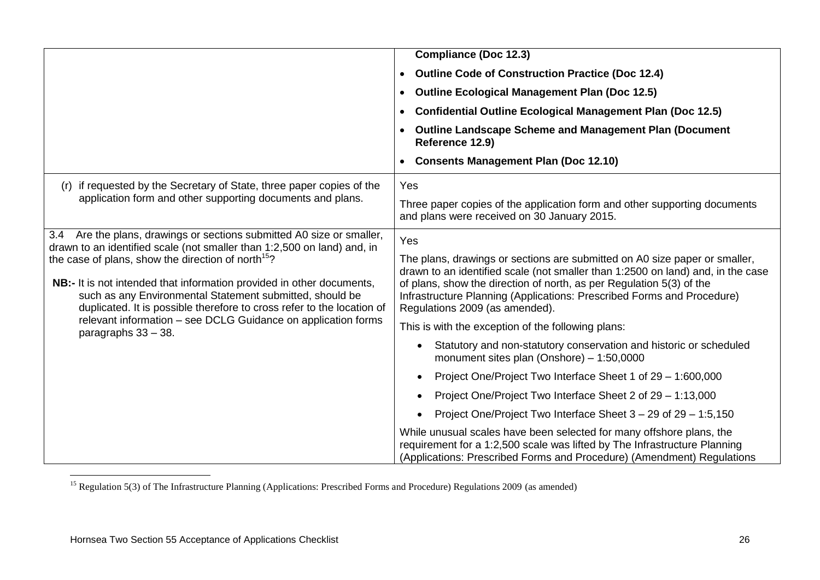|                                                                                                                                                                                                                                                                                                                                                                                                                                                     | <b>Compliance (Doc 12.3)</b>                                                                                                                                                                                                                                                                                                                      |  |  |
|-----------------------------------------------------------------------------------------------------------------------------------------------------------------------------------------------------------------------------------------------------------------------------------------------------------------------------------------------------------------------------------------------------------------------------------------------------|---------------------------------------------------------------------------------------------------------------------------------------------------------------------------------------------------------------------------------------------------------------------------------------------------------------------------------------------------|--|--|
|                                                                                                                                                                                                                                                                                                                                                                                                                                                     | <b>Outline Code of Construction Practice (Doc 12.4)</b><br>$\bullet$                                                                                                                                                                                                                                                                              |  |  |
|                                                                                                                                                                                                                                                                                                                                                                                                                                                     | <b>Outline Ecological Management Plan (Doc 12.5)</b><br>$\bullet$                                                                                                                                                                                                                                                                                 |  |  |
|                                                                                                                                                                                                                                                                                                                                                                                                                                                     | <b>Confidential Outline Ecological Management Plan (Doc 12.5)</b>                                                                                                                                                                                                                                                                                 |  |  |
|                                                                                                                                                                                                                                                                                                                                                                                                                                                     | <b>Outline Landscape Scheme and Management Plan (Document</b><br>Reference 12.9)                                                                                                                                                                                                                                                                  |  |  |
|                                                                                                                                                                                                                                                                                                                                                                                                                                                     | <b>Consents Management Plan (Doc 12.10)</b>                                                                                                                                                                                                                                                                                                       |  |  |
| (r) if requested by the Secretary of State, three paper copies of the                                                                                                                                                                                                                                                                                                                                                                               | Yes                                                                                                                                                                                                                                                                                                                                               |  |  |
| application form and other supporting documents and plans.                                                                                                                                                                                                                                                                                                                                                                                          | Three paper copies of the application form and other supporting documents<br>and plans were received on 30 January 2015.                                                                                                                                                                                                                          |  |  |
| 3.4 Are the plans, drawings or sections submitted A0 size or smaller,                                                                                                                                                                                                                                                                                                                                                                               | Yes                                                                                                                                                                                                                                                                                                                                               |  |  |
| drawn to an identified scale (not smaller than 1:2,500 on land) and, in<br>the case of plans, show the direction of north <sup>15</sup> ?<br>NB:- It is not intended that information provided in other documents,<br>such as any Environmental Statement submitted, should be<br>duplicated. It is possible therefore to cross refer to the location of<br>relevant information – see DCLG Guidance on application forms<br>paragraphs $33 - 38$ . | The plans, drawings or sections are submitted on A0 size paper or smaller,<br>drawn to an identified scale (not smaller than 1:2500 on land) and, in the case<br>of plans, show the direction of north, as per Regulation 5(3) of the<br>Infrastructure Planning (Applications: Prescribed Forms and Procedure)<br>Regulations 2009 (as amended). |  |  |
|                                                                                                                                                                                                                                                                                                                                                                                                                                                     | This is with the exception of the following plans:                                                                                                                                                                                                                                                                                                |  |  |
|                                                                                                                                                                                                                                                                                                                                                                                                                                                     | Statutory and non-statutory conservation and historic or scheduled<br>monument sites plan (Onshore) $-1:50,0000$                                                                                                                                                                                                                                  |  |  |
|                                                                                                                                                                                                                                                                                                                                                                                                                                                     | Project One/Project Two Interface Sheet 1 of 29 - 1:600,000                                                                                                                                                                                                                                                                                       |  |  |
|                                                                                                                                                                                                                                                                                                                                                                                                                                                     | Project One/Project Two Interface Sheet 2 of 29 - 1:13,000                                                                                                                                                                                                                                                                                        |  |  |
|                                                                                                                                                                                                                                                                                                                                                                                                                                                     | Project One/Project Two Interface Sheet 3 – 29 of 29 – 1:5,150                                                                                                                                                                                                                                                                                    |  |  |
|                                                                                                                                                                                                                                                                                                                                                                                                                                                     | While unusual scales have been selected for many offshore plans, the<br>requirement for a 1:2,500 scale was lifted by The Infrastructure Planning<br>(Applications: Prescribed Forms and Procedure) (Amendment) Regulations                                                                                                                       |  |  |

<sup>1</sup> <sup>15</sup> Regulation 5(3) of The Infrastructure Planning (Applications: Prescribed Forms and Procedure) Regulations 2009 (as amended)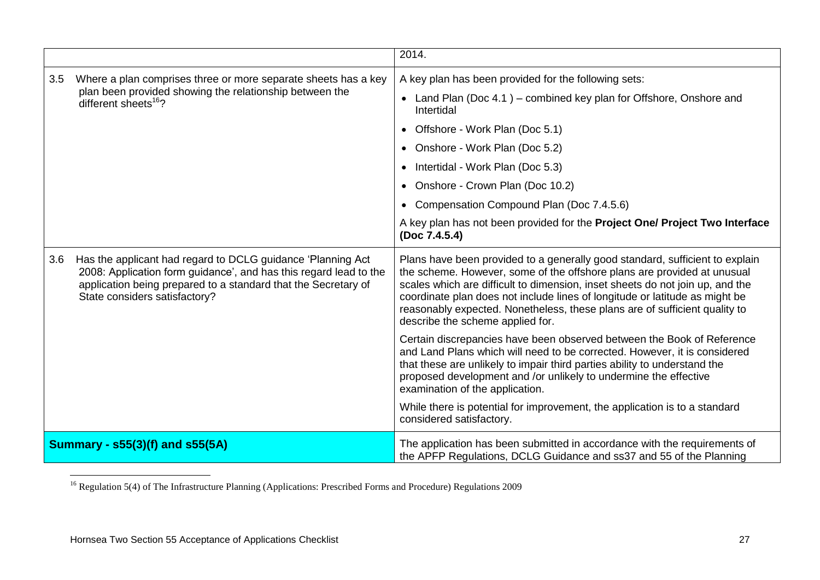|                                                                                                                                                                                                                                            |                                                                                             | 2014.                                                                                                                                                                                                                                                                                                                                                                                                                                     |  |
|--------------------------------------------------------------------------------------------------------------------------------------------------------------------------------------------------------------------------------------------|---------------------------------------------------------------------------------------------|-------------------------------------------------------------------------------------------------------------------------------------------------------------------------------------------------------------------------------------------------------------------------------------------------------------------------------------------------------------------------------------------------------------------------------------------|--|
| Where a plan comprises three or more separate sheets has a key<br>3.5                                                                                                                                                                      |                                                                                             | A key plan has been provided for the following sets:                                                                                                                                                                                                                                                                                                                                                                                      |  |
|                                                                                                                                                                                                                                            | plan been provided showing the relationship between the<br>different sheets <sup>16</sup> ? | • Land Plan (Doc 4.1) – combined key plan for Offshore, Onshore and<br>Intertidal                                                                                                                                                                                                                                                                                                                                                         |  |
|                                                                                                                                                                                                                                            |                                                                                             | Offshore - Work Plan (Doc 5.1)                                                                                                                                                                                                                                                                                                                                                                                                            |  |
|                                                                                                                                                                                                                                            |                                                                                             | • Onshore - Work Plan (Doc 5.2)                                                                                                                                                                                                                                                                                                                                                                                                           |  |
|                                                                                                                                                                                                                                            |                                                                                             | Intertidal - Work Plan (Doc 5.3)<br>$\bullet$                                                                                                                                                                                                                                                                                                                                                                                             |  |
|                                                                                                                                                                                                                                            |                                                                                             | • Onshore - Crown Plan (Doc 10.2)                                                                                                                                                                                                                                                                                                                                                                                                         |  |
|                                                                                                                                                                                                                                            |                                                                                             | Compensation Compound Plan (Doc 7.4.5.6)<br>$\bullet$                                                                                                                                                                                                                                                                                                                                                                                     |  |
|                                                                                                                                                                                                                                            |                                                                                             | A key plan has not been provided for the Project One/ Project Two Interface<br>(Doc 7.4.5.4)                                                                                                                                                                                                                                                                                                                                              |  |
| Has the applicant had regard to DCLG guidance 'Planning Act<br>3.6<br>2008: Application form guidance', and has this regard lead to the<br>application being prepared to a standard that the Secretary of<br>State considers satisfactory? |                                                                                             | Plans have been provided to a generally good standard, sufficient to explain<br>the scheme. However, some of the offshore plans are provided at unusual<br>scales which are difficult to dimension, inset sheets do not join up, and the<br>coordinate plan does not include lines of longitude or latitude as might be<br>reasonably expected. Nonetheless, these plans are of sufficient quality to<br>describe the scheme applied for. |  |
|                                                                                                                                                                                                                                            |                                                                                             | Certain discrepancies have been observed between the Book of Reference<br>and Land Plans which will need to be corrected. However, it is considered<br>that these are unlikely to impair third parties ability to understand the<br>proposed development and /or unlikely to undermine the effective<br>examination of the application.                                                                                                   |  |
|                                                                                                                                                                                                                                            |                                                                                             | While there is potential for improvement, the application is to a standard<br>considered satisfactory.                                                                                                                                                                                                                                                                                                                                    |  |
| <b>Summary - s55(3)(f) and s55(5A)</b>                                                                                                                                                                                                     |                                                                                             | The application has been submitted in accordance with the requirements of<br>the APFP Regulations, DCLG Guidance and ss37 and 55 of the Planning                                                                                                                                                                                                                                                                                          |  |

<sup>1</sup> <sup>16</sup> Regulation 5(4) of The Infrastructure Planning (Applications: Prescribed Forms and Procedure) Regulations 2009